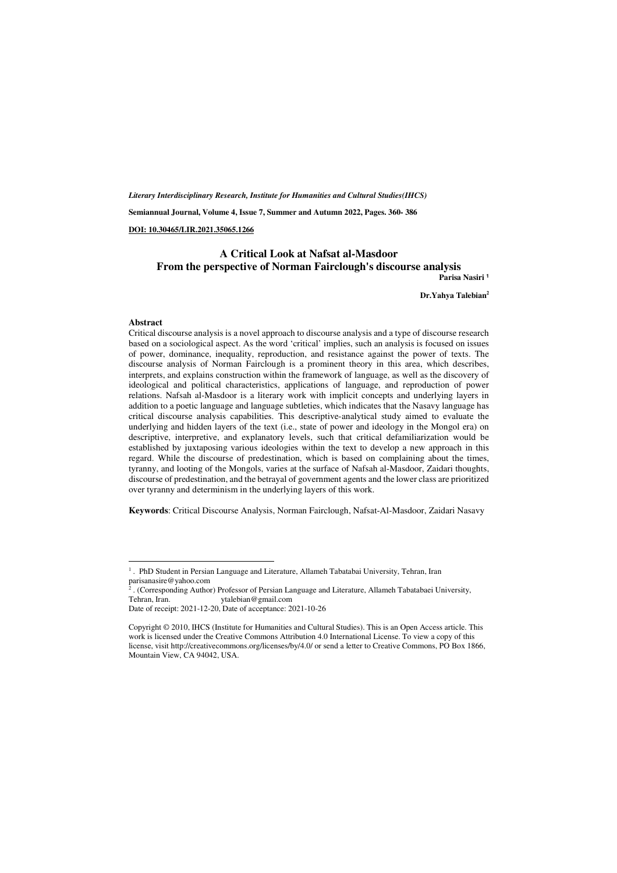*Literary Interdisciplinary Research, Institute for Humanities and Cultural Studies(IHCS)* 

**Semiannual Journal, Volume 4, Issue 7, Summer and Autumn 2022, Pages. 360- 386** 

**DOI: 10.30465/LIR.2021.35065.1266** 

#### **A Critical Look at Nafsat al-Masdoor From the perspective of Norman Fairclough's discourse analysis Parisa Nasiri <sup>1</sup>**

**Dr.Yahya Talebian<sup>2</sup>**

#### **Abstract**

 $\overline{a}$ 

Critical discourse analysis is a novel approach to discourse analysis and a type of discourse research based on a sociological aspect. As the word 'critical' implies, such an analysis is focused on issues of power, dominance, inequality, reproduction, and resistance against the power of texts. The discourse analysis of Norman Fairclough is a prominent theory in this area, which describes, interprets, and explains construction within the framework of language, as well as the discovery of ideological and political characteristics, applications of language, and reproduction of power relations. Nafsah al-Masdoor is a literary work with implicit concepts and underlying layers in addition to a poetic language and language subtleties, which indicates that the Nasavy language has critical discourse analysis capabilities. This descriptive-analytical study aimed to evaluate the underlying and hidden layers of the text (i.e., state of power and ideology in the Mongol era) on descriptive, interpretive, and explanatory levels, such that critical defamiliarization would be established by juxtaposing various ideologies within the text to develop a new approach in this regard. While the discourse of predestination, which is based on complaining about the times, tyranny, and looting of the Mongols, varies at the surface of Nafsah al-Masdoor, Zaidari thoughts, discourse of predestination, and the betrayal of government agents and the lower class are prioritized over tyranny and determinism in the underlying layers of this work.

**Keywords**: Critical Discourse Analysis, Norman Fairclough, Nafsat-Al-Masdoor, Zaidari Nasavy

<sup>&</sup>lt;sup>1</sup>. PhD Student in Persian Language and Literature, Allameh Tabatabai University, Tehran, Iran parisanasire@yahoo.com<br><sup>2</sup> (Corresponding Author

<sup>&</sup>lt;sup>2</sup>. (Corresponding Author) Professor of Persian Language and Literature, Allameh Tabatabaei University, Tehran, Iran. *ytalebian@gmail.com* ytalebian@gmail.com

Date of receipt: 2021-12-20, Date of acceptance: 2021-10-26

Copyright © 2010, IHCS (Institute for Humanities and Cultural Studies). This is an Open Access article. This work is licensed under the Creative Commons Attribution 4.0 International License. To view a copy of this license, visit http://creativecommons.org/licenses/by/4.0/ or send a letter to Creative Commons, PO Box 1866, Mountain View, CA 94042, USA.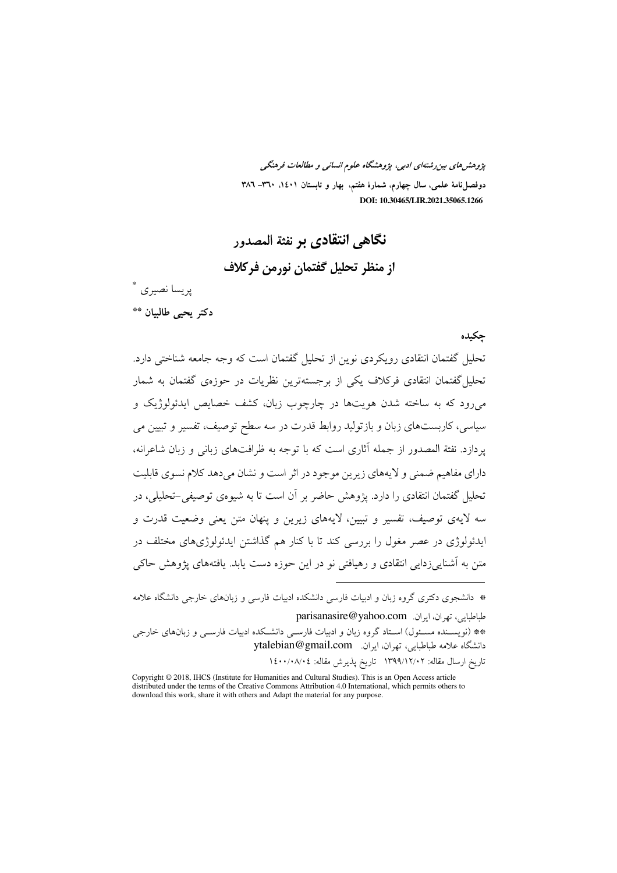پژوهشرهای بین رشتهای ادبی، پژوهشگاه علوم انسانی و مطالعات فرهنگی دوفصلiاههٔ علمی، سال چهارم، شمارهٔ هفتم، بهار و تابستان ۰۱٤۰۱، ۳٦۰– ۳۸٦ DOI: 10.30465/LIR.2021.35065.1266

## نگاهی انتقادی بر نفثة المصدور

از منظر تحليل گفتمان نورمن فركلاف

پريسا نصبري \* دكتر يحيى طالبيان \*\*

### چکیده

تحلیل گفتمان انتقادی رویکردی نوین از تحلیل گفتمان است که وجه جامعه شناختی دارد. تحلیل گفتمان انتقادی فرکلاف یکی از برجستهترین نظریات در حوزهی گفتمان به شمار می رود که به ساخته شدن هویتها در چارچوب زبان، کشف خصایص ایدئولوژیک و سیاسی، کاربستهای زبان و بازتولید روابط قدرت در سه سطح توصیف، تفسیر و تبیین می یر دازد. نفثة المصدور از جمله آثاری است که با توجه به ظرافتهای زبانی و زبان شاعرانه، دارای مفاهیم ضمنی و لایههای زیرین موجود در اثر است و نشان می دهد کلام نسوی قابلیت تحلیل گفتمان انتقادی را دارد. یژوهش حاضر بر آن است تا به شیوهی توصیفی-تحلیلی، در سه لایهی توصیف، تفسیر و تبیین، لایههای زیرین و ینهان متن یعنی وضعیت قدرت و ایدئولوژی در عصر مغول را بررسی کند تا با کنار هم گذاشتن ایدئولوژیهای مختلف در متن به آشنایی زدایی انتقادی و رهیافتی نو در این حوزه دست پابد. یافتههای پژوهش حاکی

\* دانشجوی دکتری گروه زبان و ادبیات فارسی دانشکده ادبیات فارسی و زبانهای خارجی دانشگاه علامه طباطبايي، تهران، ايران. parisanasire@yahoo.com

\*\* (نویسـنده مسـئول) اسـتاد گروه زبان و ادبیات فارسـی دانشـکده ادبیات فارسـی و زبانهای خارجی دانشگاه علامه طباطبایی، تهران، ایران. vtalebian@gmail.com

تاريخ ارسال مقاله: ١٣٩٩/١٢/٠٢ تاريخ پذيرش مقاله: ١٤٠٠/٠٨/٠٤

Copyright © 2018, IHCS (Institute for Humanities and Cultural Studies). This is an Open Access article distributed under the terms of the Creative Commons Attribution 4.0 International, which permits others to download this work, share it with others and Adapt the material for any purpose.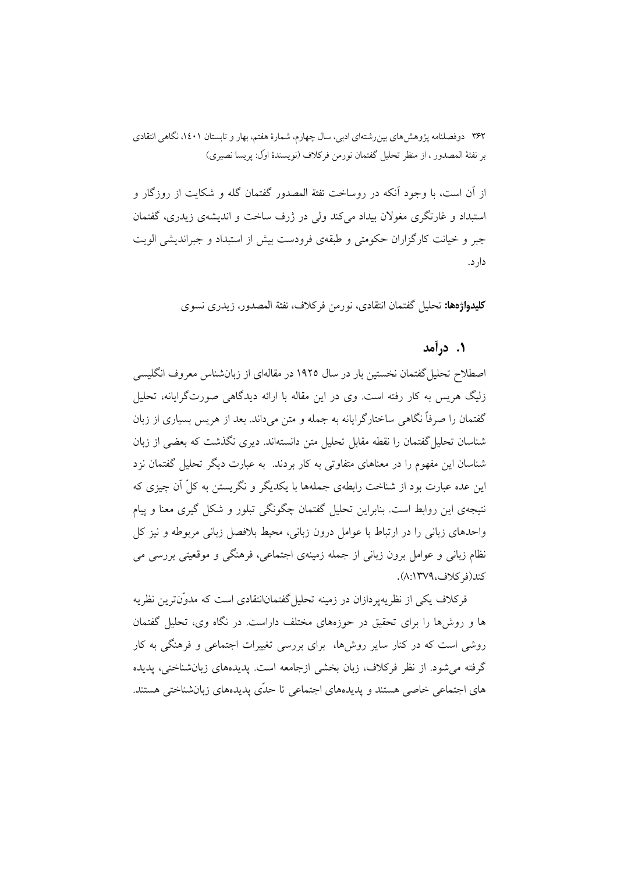از اّن است، با وجود اّنکه در روساخت نفثة المصدور گفتمان گله و شکایت از روزگار و استبداد و غارتگری مغولان بیداد می کند ولی در ژرف ساخت و اندیشهی زیدری، گفتمان جبر و خیانت کارگزاران حکومتی و طبقهی فرودست بیش از استبداد و جبراندیشی الویت دار د.

**كليدواژهها:** تحليل گفتمان انتقادي، نورمن فركلاف، نفثة المصدور، زيدري نسوي

### ۱. درآمد

اصطلاح تحلیل گفتمان نخستین بار در سال ۱۹۲۵ در مقالهای از زبانشناس معروف انگلیسی زلیگ هریس به کار رفته است. وی در این مقاله با ارائه دیدگاهی صورتگرایانه، تحلیل گفتمان را صرفاً نگاهی ساختارگرایانه به جمله و متن میداند. بعد از هریس بسیاری از زبان شناسان تحلیل گفتمان را نقطه مقابل تحلیل متن دانستهاند. دیری نگذشت که بعضی از زبان شناسان این مفهوم را در معناهای متفاوتی به کار بردند. به عبارت دیگر تحلیل گفتمان نزد این عده عبارت بود از شناخت رابطهی جملهها با یکدیگر و نگریستن به کلّ آن چیزی که نتیجهی این روابط است. بنابراین تحلیل گفتمان چگونگی تبلور و شکل گیری معنا و پیام واحدهای زبانی را در ارتباط با عوامل درون زبانی، محیط بلافصل زبانی مربوطه و نیز کل نظام زبانی و عوامل برون زبانی از جمله زمینهی اجتماعی، فرهنگی و موقعیتی بررسی می كند(في كلاف،١٣٧٩:٨).

فرکلاف یکی از نظریهپردازان در زمینه تحلیل گفتمانانتقادی است که مدوّنترین نظریه ها و روشها را برای تحقیق در حوزههای مختلف داراست. در نگاه وی، تحلیل گفتمان روشی است که در کنار سایر روشها، برای بررسی تغییرات اجتماعی و فرهنگی به کار گرفته می شود. از نظر فرکلاف، زبان بخشی ازجامعه است. پدیدههای زبانشناختی، پدیده های اجتماعی خاصی هستند و پدیدههای اجتماعی تا حدّی پدیدههای زبانشناختی هستند.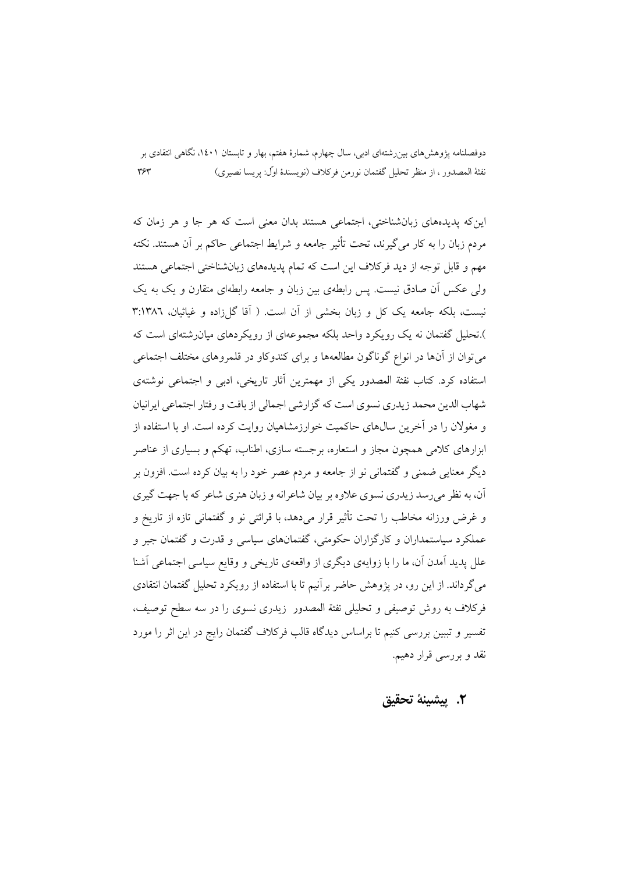این که پدیدههای زبانشناختی، اجتماعی هستند بدان معنی است که هر جا و هر زمان که مردم زبان را به کار می گیرند، تحت تأثیر جامعه و شرایط اجتماعی حاکم بر آن هستند. نکته مهم و قابل توجه از دید فرکلاف این است که تمام پدیدههای زبانشناختی اجتماعی هستند ولی عکس آن صادق نیست. پس رابطهی بین زبان و جامعه رابطهای متقارن و یک به یک نیست، بلکه جامعه یک کل و زبان بخشی از آن است. ( آقا گلزاده و غیاثیان، ۳:۱۳۸٦ ).تحلیل گفتمان نه یک رو یکرد واحد پلکه مجموعهای از رو یکردهای میان شتهای است که می توان از آنها در انواع گوناگون مطالعهها و برای کندوکاو در قلمروهای مختلف اجتماعی استفاده کرد. کتاب نفثة المصدور یکی از مهمترین آثار تاریخی، ادبی و اجتماعی نوشتهی شهاب الدین محمد زیدری نسوی است که گزارشی اجمالی از بافت و رفتار اجتماعی ایرانیان و مغولان را در آخرین سال0های حاکمیت خوارزمشاهیان روایت کرده است. او با استفاده از ابزارهای کلامی همچون مجاز و استعاره، برجسته سازی، اطناب، تهکم و بسیاری از عناصر دیگر معنایی ضمنی و گفتمانی نو از جامعه و مردم عصر خود را به بیان کرده است. افزون بر آن، به نظر می رسد زیدری نسوی علاوه بر بیان شاعرانه و زبان هنری شاعر که با جهت گیری و غرض ورزانه مخاطب را تحت تأثیر قرار می۵هد، با قرائتی نو و گفتمانی تازه از تاریخ و عملکرد سیاستمداران و کارگزاران حکومتی، گفتمانهای سیاسی و قدرت و گفتمان جبر و علل پدید آمدن آن، ما را با زوایهی دیگری از واقعهی تاریخی و وقایع سیاسی اجتماعی آشنا میگرداند. از این رو، در پژوهش حاضر برآنیم تا با استفاده از رویکرد تحلیل گفتمان انتقادی فرکلاف به روش توصیفی و تحلیلی نفثة المصدور زیدری نسوی را در سه سطح توصیف، تفسیر و تببین بررسی کنیم تا براساس دیدگاه قالب فرکلاف گفتمان رایج در این اثر را مورد نقد و بررسی قرار دهیم.

### ٢. ييشينة تحقيق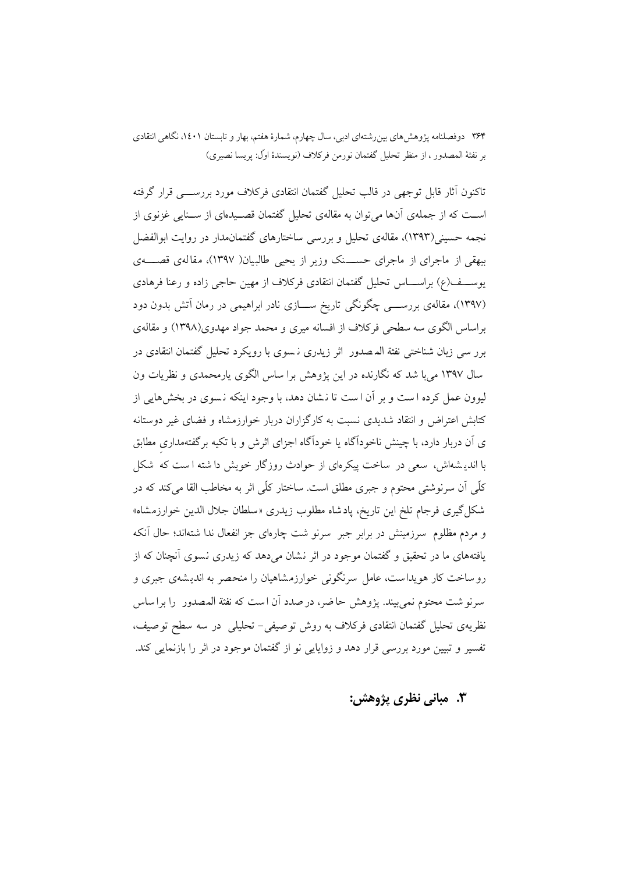.<br>تاکنون اَثار قابل توجهی در قالب تحلیل گفتمان انتقادی فرکلاف مورد بررســــی قرار گرفته اســت که از جملهی آنها می توان به مقالهی تحلیل گفتمان قصــیدهای از ســنایی غزنوی از نجمه حسینی(۱۳۹۳)، مقالهی تحلیل و بررسی ساختارهای گفتمانمدار در روایت ابوالفضل بیهقی از ماجرای از ماجرای حســـنک وزیر از یحیی طالبیان( ۱۳۹۷)، مقالهی قصــــهی یوســـف(ع) براســــاس تحلیل گفتمان انتقادی فرکلاف از مهین حاجی زاده و رعنا فرهادی (۱۳۹۷)، مقالهی بررســــی چگونگی تاریخ ســــازی نادر ابراهیمی در رمان آتش بدون دود براساس الگوی سه سطحی فرکلاف از افسانه میری و محمد جواد مهدوی(۱۳۹۸) و مقالهی برر سی زبان شناختی نفثة المصدور اثر زیدری نسوی با رویکرد تحلیل گفتمان انتقادی در سال ۱۳۹۷ می با شد که نگارنده در این پژوهش برا ساس الگوی پارمحمدی و نظریات ون لیوون عمل کرده است و بر آن است تا نشان دهد، با وجود اینکه نسوی در بخشهایی از کتابش اعتراض و انتقاد شدیدی نسبت به کارگزاران دربار خوارزمشاه و فضای غیر دوستانه ی آن دربار دارد، با چینش ناخودآگاه یا خودآگاه اجزای اثرش و با تکیه برگفتهمداری مطابق با اندیشهاش، سعی در ساخت پیکرهای از حوادث روزگار خویش دا شته است که شکل كلِّي أن سرنوشتى محتوم و جبرى مطلق است. ساختار كلِّي اثر به مخاطب القا مى كند كه در شکل گیری فرجام تلخ این تاریخ، پادشاه مطلوب زیدری «سلطان جلال الدین خوارزمشاه» و مردم مظلوم ً سرزمینش در برابر جبر ً سرنو شت چارهای جز انفعال ندا شتهاند؛ حال آنکه یافتههای ما در تحقیق و گفتمان موجود در اثر نشان میدهد که زیدری نسوی آنچنان که از رو ساخت کار هویداست، عامل سرنگونی خوارزمشاهیان را منحصر به اندیشهی جبری و سرنو شت محتوم نمي بيند. يژوهش حاضر، در صدد أن است كه نفثة المصدور ً را براساس نظریهی تحلیل گفتمان انتقادی فرکلاف به روش توصیفی- تحلیلی در سه سطح توصیف، تفسیر و تبیین مورد بررسی قرار دهد و زوایایی نو از گفتمان موجود در اثر را بازنمایی کند.

٣. مباني نظري پژوهش: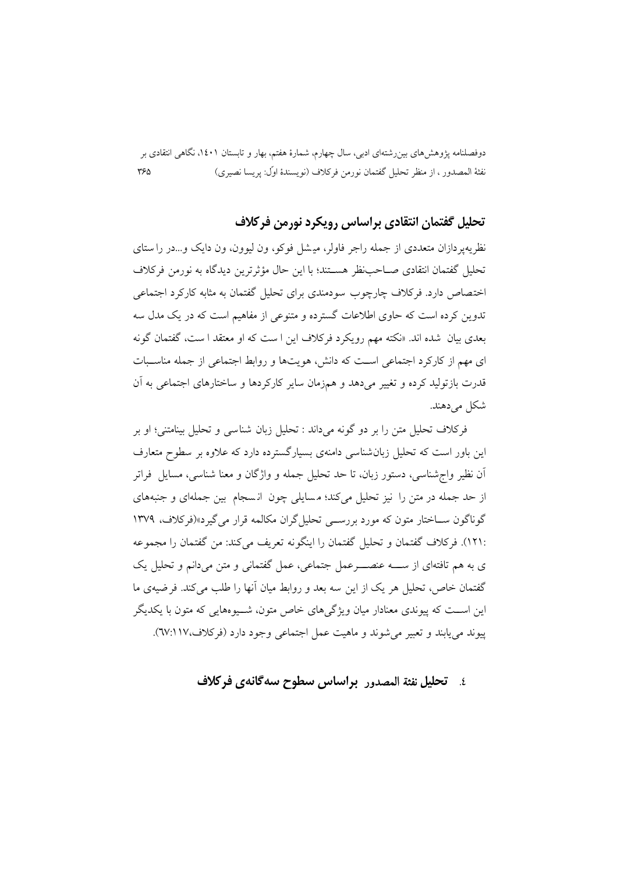# تحلیل گفتمان انتقادی براساس رویکرد نورمن فرکلاف

نظریه پر دازان متعددی از جمله راجر فاولر، میشل فوکو، ون لیوون، ون دایک و…در را ستای تحليل گفتمان انتقادي صــاحب:ظر هســتند؛ با اين حال مؤثرترين ديدگاه به نورمن فركلاف اختصاص دارد. فرکلاف چارچوب سودمندی برای تحلیل گفتمان به مثابه کارکرد اجتماعی تدوین کرده است که حاوی اطلاعات گسترده و متنوعی از مفاهیم است که در یک مدل سه بعدي بيان شده اند. «نكته مهم رويكرد فركلاف اين ا ست كه او معتقد ا ست، گفتمان گونه ای مهم از کارکرد اجتماعی است که دانش، هویتها و روابط اجتماعی از جمله مناسبات قدرت بازتولید کرده و تغییر می دهد و همزمان سایر کارکردها و ساختارهای اجتماعی به آن شکل می دهند.

فركلاف تحليل متن را بر دو گونه مىداند : تحليل زبان شناسى و تحليل بينامتنى؛ او بر این باور است که تحلیل زبانشناسی دامنهی بسیارگسترده دارد که علاوه بر سطوح متعارف آن نظیر واج شناسی، دستور زبان، تا حد تحلیل جمله و واژگان و معنا شناسی، مسایل ً فراتر از حد جمله در متن را نیز تحلیل میکند؛ مسایلی چون انسجام بین جملهای و جنبههای گوناگون ســاختار متون که مورد بررســی تحلیل گران مکالمه قرار می گیرد»(فرکلاف، ۱۳۷۹ :١٢١). فركلاف گفتمان و تحليل گفتمان را اينگونه تعريف ميكند: من گفتمان را مجموعه ی به هم تافتهای از ســـه عنصـــــرعمل جتماعی، عمل گفتمانی و متن میدانم و تحلیل یک گفتمان خاص، تحلیل هر یک از این سه بعد و روابط میان آنها را طلب میکند. فرضیهی ما این اســت که پیوندی معنادار میان ویژگی های خاص متون، شــیو،هایی که متون با یکدیگر پيوند مي پابند و تعبير مي شوند و ماهيت عمل اجتماعي وجود دارد (فركلاف،١١٧/٣).

### ٤. تحليل نفثة المصدور براساس سطوح سه گانهي فركلاف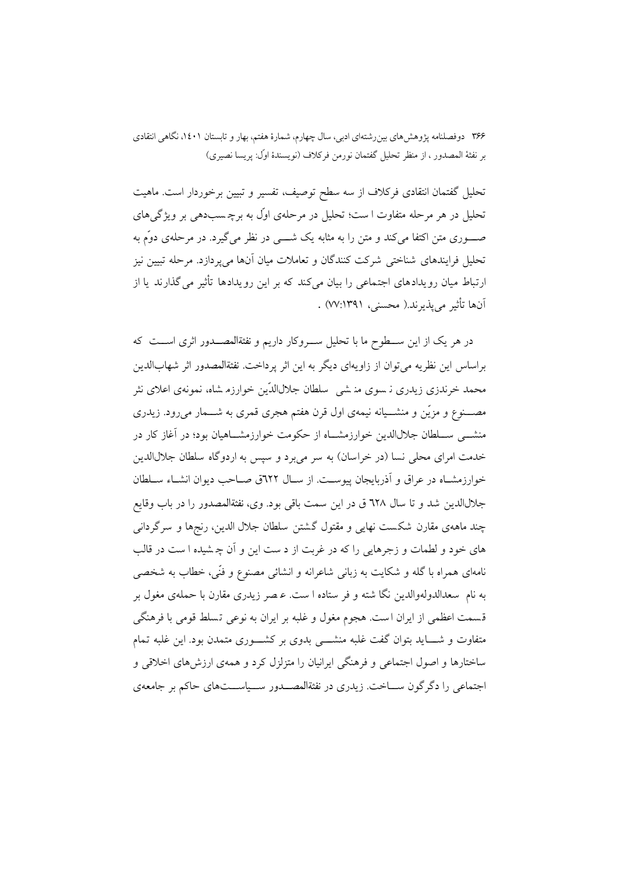تحلیل گفتمان انتقادی فرکلاف از سه سطح توصیف، تفسیر و تبیین برخوردار است. ماهیت تحلیل در هر مرحله متفاوت ا ست؛ تحلیل در مرحلهی اوّل به برچسبدهی بر ویژگی های صــــوري متن اکتفا ميکند و متن را به مثابه يک شـــــي در نظر ميگيرد. در مرحلهي دوّم به تحلیل فرایندهای شناختی شرکت کنندگان و تعاملات میان آنها میپردازد. مرحله تبیین نیز ارتباط میان رویدادهای اجتماعی را بیان میکند که بر این رویدادها تأثیر می گذارند یا از آنها تأثير مي يذيرند.( محسني، ٧٧:١٣٩١) .

در هر یک از این ســطوح ما با تحلیل ســروکار داریم و نفثةالمصــدور اثری اســت که براساس این نظریه می توان از زاویهای دیگر به این اثر پرداخت. نفثةالمصدور اثر شهابالدین محمد خرندزی زیدری نـ سوی منـ شـی سلطان جلالالدّین خوارزم شاه، نـمونهی اعلای نثر مصــــنوع و مزیّن و منشـــیانه نیمهی اول قرن هفتم هجری قمری به شــــمار می٫رود. زیدری منشـــی ســـلطان جلال|لدین خوارزمشـــاه از حکومت خوارزمشـــاهیان بود؛ در آغاز کار در خدمت امرای محلی نسا (در خراسان) به سر میبرد و سپس به اردوگاه سلطان جلال الدین خوارزمشـاه در عراق و آذربایجان پیوسـت. از سـال ٦٢٢ق صـاحب دیوان انشـاء سـلطان جلالالدین شد و تا سال ٦٢٨ ق در این سمت باقی بود. وی، نفثةالمصدور را در باب وقایع چند ماههي مقارن شكست نهايي و مقتول گشتن سلطان جلال الدين، رنجها و سرگرداني های خود و لطمات و زجرهایی را که در غربت از د ست این و آن چـ شیده ا ست در قالب نامهای همراه با گله و شکایت به زبانی شاعرانه و انشائی مصنوع و فنّی، خطاب به شخصی به نام سعدالدولهوالدین نگا شته و فر ستاده ا ست. عـصر زیدری مقارن با حملهی مغول بر قسمت اعظمی از ایران است. هجوم مغول و غلبه بر ایران به نوعی تسلط قومی با فرهنگی متفاوت و شــــاید بتوان گفت غلبه منشــــی بدوی بر کشــــوری متمدن بود. این غلبه تمام ساختارها و اصول اجتماعی و فرهنگی ایرانیان را متزلزل کرد و همهی ارزشهای اخلاقی و اجتماعی را دگر گون ســـاخت. زیدری در نفثةالمصـــدور ســـیاســـتهای حاکم بر جامعهی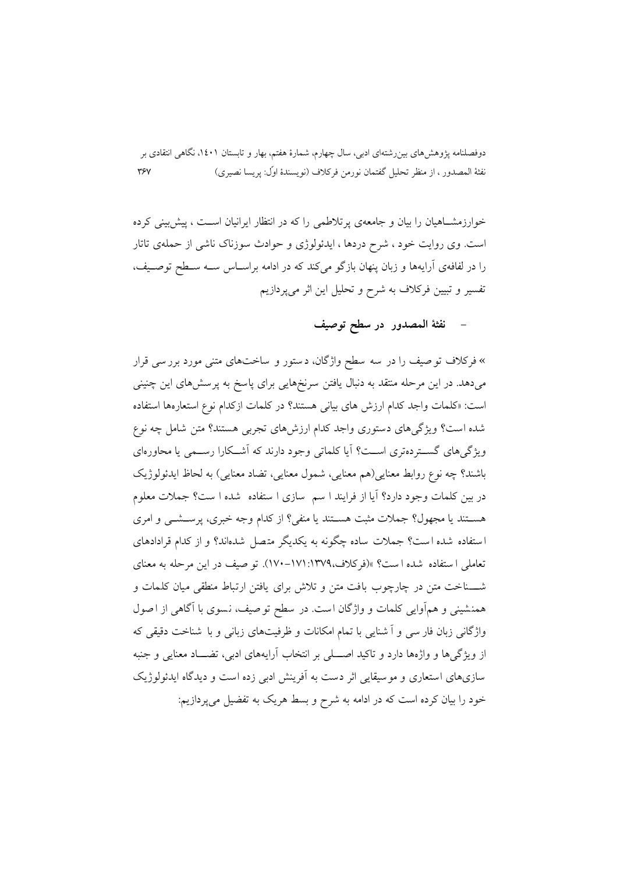خوارزمشــاهیان را بیان و جامعهی بر تلاطمی را که در انتظار ایرانیان اســت ، پیش پینی کرده است. وي روايت خود ، شرح دردها ، ايدئولوژي و حوادث سوزناک ناشي از حملهي تاتار را در لفافهی آرایهها و زبان پنهان بازگو میکند که در ادامه براسـاس ســه سـطح توصــیف، تفسیر و تبیین فرکلاف به شرح و تحلیل این اثر میپردازیم

## نفثة المصدور در سطح توصيف

» فرکلاف تو صیف را در سه سطح واژگان، دستور و ساختهای متنی مورد بررسی قرار میدهد. در این مرحله منتقد به دنبال یافتن سرنخهایی برای پاسخ به پرسشهای این چنینی است: «كلمات واجد كدام ارزش هاى بياني هستند؟ در كلمات ازكدام نوع استعارهها استفاده شده است؟ ویژگیهای دستوری واجد کدام ارزشهای تجربی هستند؟ متن شامل چه نوع ویژگی های گسته دهتری است؟ آبا کلماتی وجود دارند که آشــکارا رســمی با محاورهای باشند؟ چه نوع روابط معنايي(هم معنايي، شمول معنايي، تضاد معنايي) به لحاظ ايدئولوژيک در بین کلمات وجود دارد؟ آیا از فرایند ا سم ً سازی ا ستفاده ً شده ا ست؟ جملات معلوم هســتند یا مجهول؟ جملات مثبت هســتند یا منفی؟ از کدام وجه خبری، پرســشــی و امری استفاده شده است؟ جملات ساده چگونه به یکدیگر متصل شدهاند؟ و از کدام قرادادهای تعاملی استفاده شده است؟ »(فرکلاف،١٣٧٩-١٧١:١٧٠-١٧٠). تو صيف در اين مرحله به معناي شـــناخت متن در چارچوب بافت متن و تلاش برای یافتن ارتباط منطقی میان کلمات و همنشینی و همأوایی کلمات و واژگان است. در سطح توصیف، نسوی با آگاهی از اصول واژگانی زبان فار سی و آ شنایی با تمام امکانات و ظرفیتهای زبانی و با شناخت دقیقی که از ویژگیها و واژهها دارد و تاکید اصــــلی بر انتخاب آرایههای ادبی، تضـــاد معنایی و جنبه سازیهای استعاری و موسیقایی اثر دست به آفرینش ادبی زده است و دیدگاه ایدئولوژیک خود را بیان کرده است که در ادامه به شرح و بسط هریک به تفضیل می پردازیم: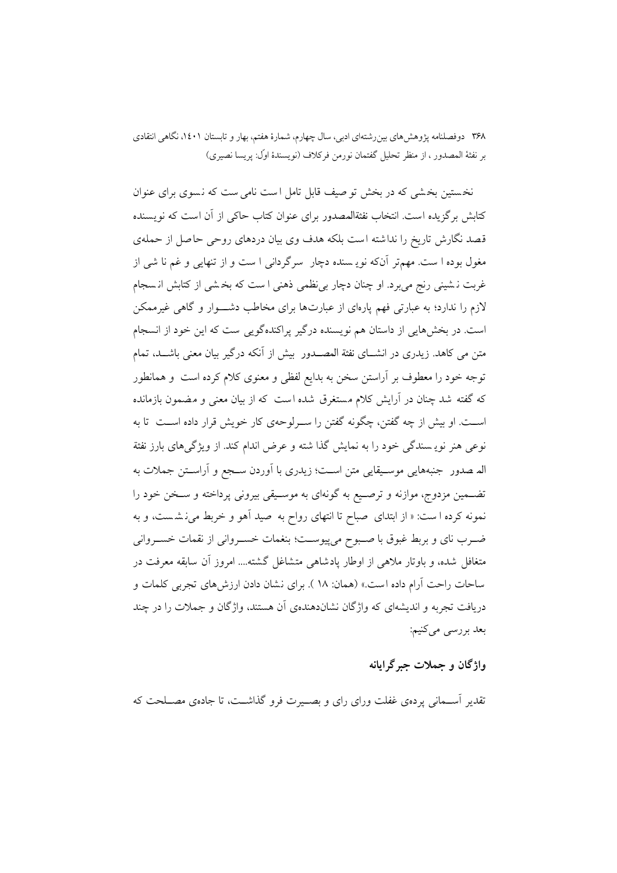نخستین بخشی که در بخش تو صیف قابل تامل است نامی ست که نسوی برای عنوان کتابش برگزیده است. انتخاب نفثةالمصدور برای عنوان کتاب حاکی از آن است که نویسنده قصد نگارش تاریخ را نداشته است بلکه هدف وی بیان دردهای روحی حاصل از حملهی مغول بوده ا ست. مهمتر آنکه نویه سنده دچار سرگردانی ا ست و از تنهایی و غم نا شی از غربت نشینی رنج می برد. او چنان دچار بی نظمی ذهنی ا ست که بخشی از کتابش انسجام لازم را ندارد؛ به عبارتی فهم یارهای از عبارتها برای مخاطب دشــــوار و گاهی غیرممکن است. در بخشهایی از داستان هم نویسنده درگیر پراکندهگویی ست که این خود از انسجام متن می کاهد. زیدری در انشــای نفثة المصــدور بیش از آنکه درگیر بیان معنی باشــد، تمام توجه خود را معطوف بر اّراستن سخن به بدایع لفظی و معنوی کلام کرده است ً و همانطور که گفته شد چنان در آرایش کلام مستغرق شده است که از بیان معنی و مضمون بازمانده اســت. او بیش از چه گفتن، چگونه گفتن را ســرلوحهی کار خویش قرار داده اســت تا به نوعی هنر نویه سندگی خود را به نمایش گذا شته و عرض اندام کند. از ویژگیهای بارز نفثة اله صدور جنبههايي موسـيقايي متن اسـت؛ زيدري با آوردن سـجع و آراسـتن جملات به تضـمین مزدوج، موازنه و ترصـیع به گونهای به موسـیقی بیرونی پرداخته و سـخن خود را نمونه کرده است: « از ابتدای صباح تا انتهای رواح به صید آهو و خربط می نشست، و به ضـرب ناي و بربط غبوق با صـبوح ميپيوســت؛ بنغمات خسـرواني از نقمات خســرواني متغافل شده، و باوتار ملاهی از اوطار یادشاهی متشاغل گشته.... امروز آن سابقه معرفت در ساحات راحت آرام داده است.» (همان: ١٨ ). براي نشان دادن ارزش هاي تجربي كلمات و دریافت تجربه و اندیشهای که واژگان نشاندهندهی آن هستند، واژگان و جملات را در چند بعد بررسي ميكنيم:

## واژگان و جملات جبرگرایانه

تقدیر آســمانی پردهی غفلت ورای رای و بصــیرت فرو گذاشــت، تا جادهی مصــلحت که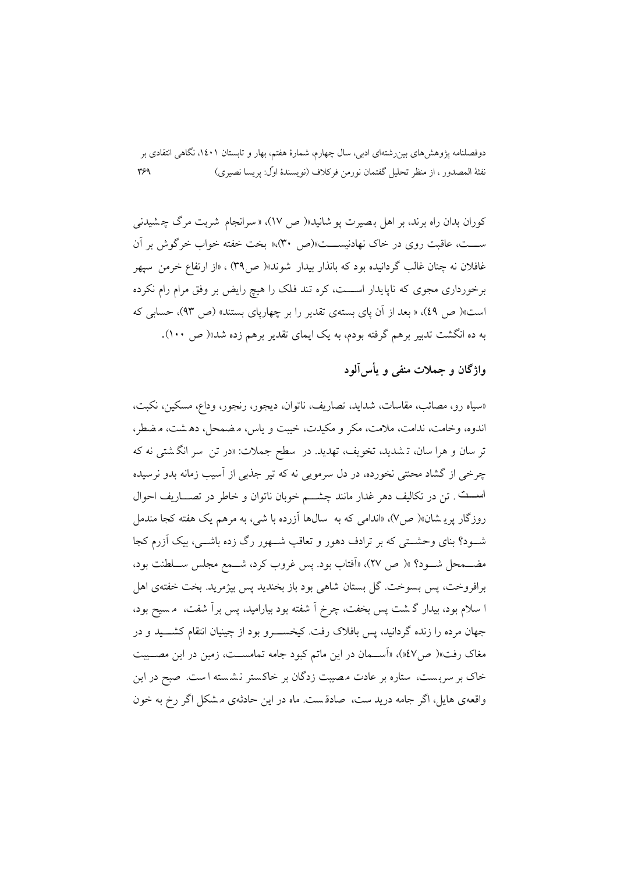کوران بدان راه برند، بر اهل بصیرت یو شانید»( ص ١٧)، « سرانجام شربت مرگ چشیدنی ســـت، عاقبت روى در خاك نهادنيســـت»(ص ٣٠)»« بخت خفته خواب خرگوش بر آن غافلان نه چنان غالب گردانیده بود که بانذار بیدار شوند»( ص۳۹) ، «از ارتفاع خرمن سیهر برخورداری مجوی که ناپایدار اســـت، کره تند فلک را هیچ رایض بر وفق مرام رام نکرده است»( ص ٤٩)، « بعد از آن ياي بستهي تقدير را بر چهارياي بستند» (ص ٩٣)، حسابي كه به ده انگشت تدبیر برهم گرفته بودم، به یک ایمای تقدیر برهم زده شد»( ص ۱۰۰).

واژگان و جملات منفي و پأس آلود

«سياه رو، مصائب، مقاسات، شدايد، تصاريف، ناتوان، ديجور، رنجور، وداع، مسكين، نكبت، اندوه، وخامت، ندامت، ملامت، مکر و مکیدت، خیبت و یاس، مضمحل، دهشت، مضطر، تر سان و هرا سان، تـ شدید، تخویف، تهدید. در سطح جملات: «در تن ٍ سر انگـشتی نه که ۔<br>چرخی از گشاد محنتی نخوردہ، در دل سرمویی نه که تیر جذبی از اسیب زمانه بدو نرسیده اسست . تن در تكاليف دهر غدار مانند چشـــم خوبان ناتوان و خاطر در تصـــاريف احوال روزگار یرپیشان»( ص۷)، «اندامی که به سالها آزرده با شی، به مرهم یک هفته کجا مندمل شـود؟ بنای وحشــتی که بر ترادف دهور و تعاقب شــهور رگ زده باشــی، بیک آزرم کجا مضـــمحل شـــود؟ »( ص ٢٧)، «أفتاب بود. پس غروب كرد، شـــمع مجلس ســـلطنت بود، برافروخت، پس بسوخت. گل بستان شاهی بود باز بخندید پس بپژمرید. بخت خفتهی اهل ا سلام بود، بیدار گاشت پس بخفت، چرخ اّ شفته بود بیارامید، پس براً شفت، ً م سیح بود، جهان مرده را زنده گردانید، پس بافلاک رفت. کیخســــرو بود از چینیان انتقام کشــــید و در مغاک رفت»( ص٤٧٪)، «اَســمان در این ماتم کبود جامه تمامســت، زمین در این مصــیبت خاک بر سربست، ستاره بر عادت مصیبت زدگان بر خاکستر نشسته است. صبح در این واقعهی هایل، اگر جامه درید ست، صادقست ماه در این حادثهی مشکل اگر رخ به خون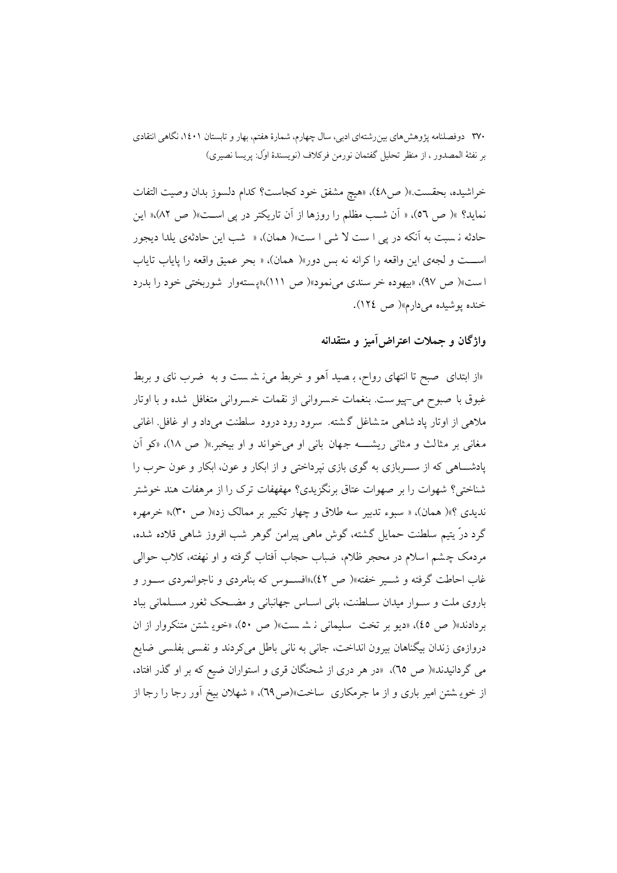خراشيده، بحقست.»( ص٤٨)، «هيچ مشفق خود كجاست؟ كدام دلسوز بدان وصيت التفات نماید؟ »( ص ٥٦)، « آن شب مظلم را روزها از آن تاریکتر در پی است»( ص ٨٢)،« این حادثه نـ سبت به آنکه در یی ا ست لا شی ا ست»( همان). « شب این حادثهی یلدا دیجور اســـت و لجهي اين واقعه راكرانه نه بس دور»( همان)، « بحر عميق واقعه را ياياب تاياب است»(ص ٩٧)، «بيهوده خر سندي مي نمود»(ص ١١١)،«يستهوار شوربختي خود را بدرد خنده پوشیده میدارم»(ص ١٢٤).

### واژگان و جملات اعتراض اَمیز و منتقدانه

«از ابتدای ً صبح تا انتهای رواح، بـ صید اَهو و خربط می ِز شـ ست و به ً ضرب نای و بربط غبوق با صبوح مي–پيو ست. بنغمات خسرواني از نقمات خسرواني متغافل شده و با اوتار ملاهی از اوتار پاد شاهی متشاغل گشته. سرود رود درود سلطنت میداد و او غافل اغانی مغانی بر مثالث و مثانی ریشـــه جهان بانی او می خواند و او بیخبر.»( ص ١٨)، «کو اَن پادشـــاهی که از ســـربازی به گوی بازی نپرداختی و از ابکار و عون، ابکار و عون حرب را شناختی؟ شهوات را بر صهوات عتاق برنگزیدی؟ مهفهفات ترک را از مرهفات هند خوشتر ندیدی ؟»( همان)، « سبوء تدبیر سه طلاق و چهار تکبیر بر ممالک زد»( ص ۳۰).« خرمهره گرد درّ يتيم سلطنت حمايل گشته، گوش ماهي پيرامن گوهر شب افروز شاهي قلاده شده، مردمک چشم اسلام در محجر ظلام، ضباب حجاب اَفتاب گرفته و او نهفته، کلاب حوالی غاب احاطت گرفته و شــير خفته»( ص ٤٢)،«افســوس كه بنامردي و ناجوانمردي ســور و باروی ملت و سـوار میدان سـلطنت، بانی اسـاس جهانبانی و مضـحک ثغور مسـلمانی بباد بردادند»( ص ٤٥)، «ديو بر تخت ٍ سليماني نيشست»( ص ٥٠)، «خويه شتن متنكروار از ان دروازهي زندان بيگناهان بيرون انداخت، جاني به ناني باطل مي كردند و نفسي بفلسي ضايع می گردانیدند»( ص ٦٥)، «در هر دری از شحنگان قری و استواران ضیع که بر او گذر افتاد، از خویه شتن امیر باری و از ما جرمکاری ساخت»(ص۲۹)، « شهلان بیخ آور رجا را رجا از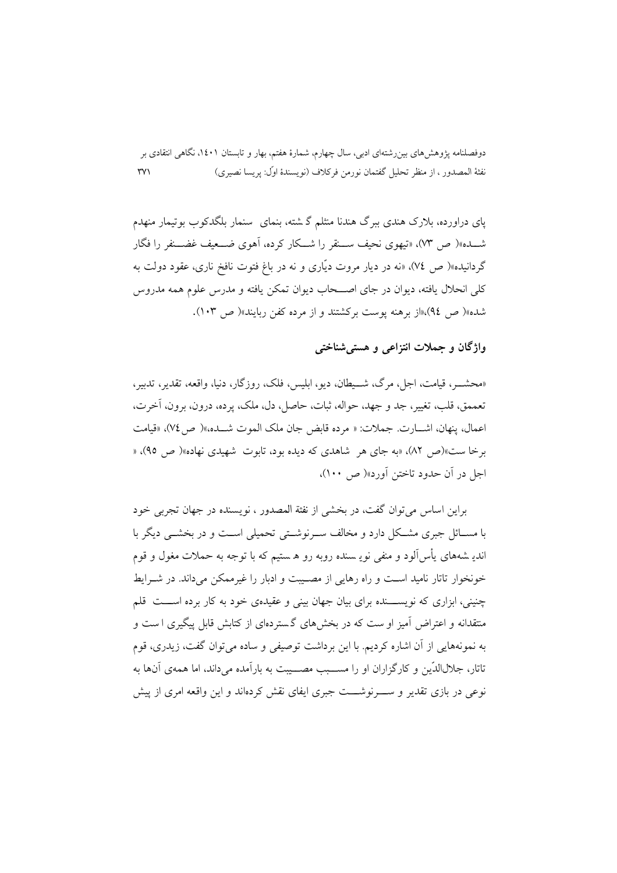یای دراورده، بلارک هندی ببرگ هندنا منثلم گرشته، بنمای سنمار بلگدکوب بوتیمار منهدم شــده»( ص ٧٣)، «تيهوي نحيف ســنقر را شــكار كرده، أهوى ضــعيف غضــنفر را فگار گم دانبده»( ص ٧٤)، «نه در ديار مروت ديّاري و نه در باغ فتوت نافخ ناري، عقود دولت به کلی انحلال یافته، دیوان در جای اصـــحاب دیوان تمکن یافته و مدرس علوم همه مدروس شده»( ص ٩٤)،«از برهنه یوست برکشتند و از مرده کفن ربایند»( ص ١٠٣).

### واژگان و جملات انتزاعی و هستی شناختی

«محشـــر، قيامت، اجل، مرگ، شـــبطان، ديو، ايليس، فلک، روزگار، دنيا، واقعه، تقدير، تدبير، تعممق، قلب، تغيير، جد و جهد، حواله، ثبات، حاصل، دل، ملک، يرده، درون، برون، آخرت، اعمال، ينهان، اشـــارت. جملات: « مرده قابض جان ملك الموت شـــده،»( ص ٧٤)، «قيامت برخا ست»(ص ۸۲)، «به جای هر شاهدی که دیده بود، تابوت شهیدی نهاده»( ص ۹۵)، « اجل در آن حدود تاختن آورد»(ص: ۱۰۰)،

براین اساس می توان گفت، در بخشی از نفثة المصدور ، نویسنده در جهان تجربی خود با مســائل جبری مشــکل دارد و مخالف ســرنوشــتی تحمیلی اســت و در بخشــی دیگر با اندیـ شههای پأس[اَلود و منفی نویـ سنده روبه رو هـ ستیم که با توجه به حملات مغول و قوم خونخوار تاتار نامید است و راه رهایی از مصـیبت و ادبار را غیرممکن میداند. در شــرایط چنینی، ابزاری که نویســـنده برای بیان جهان بینی و عقیدهی خود به کار برده اســـت قلم .<br>منتقدانه و اعتراض آمیز او ست که در بخشهای گستردهای از کتابش قابل پیگیری ا ست و به نمونههایی از آن اشاره کردیم. با این برداشت توصیفی و ساده می توان گفت، زیدری، قوم تاتار، جلالاللدّين و كارگزاران او را مســـبب مصـــببت به بارآمده می داند، اما همهي آنها به نوعی در بازی تقدیر و ســــرنوشــــت جبری ایفای نقش کردهاند و این واقعه امری از پیش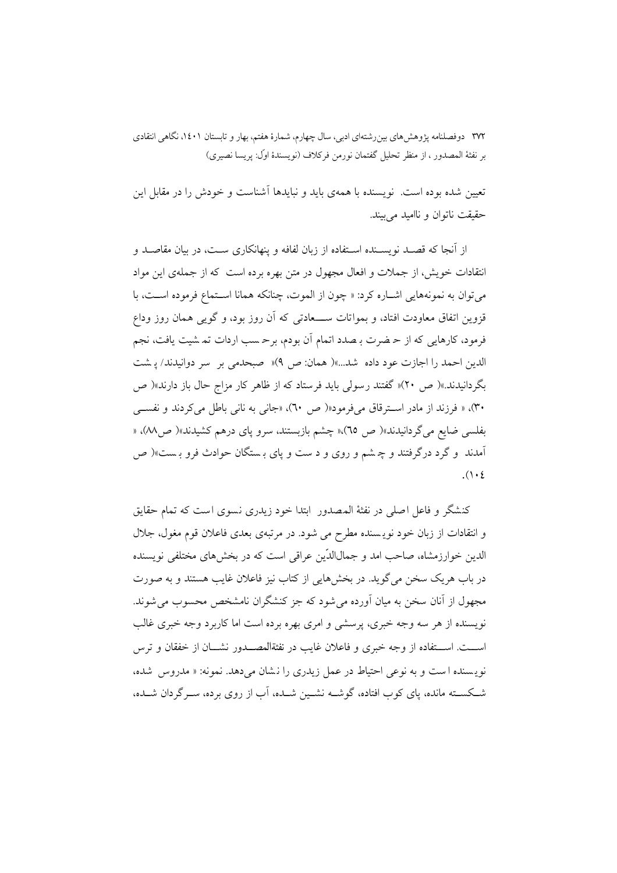تعیین شده بوده است. نویسنده با همهی باید و نبایدها آشناست و خودش را در مقابل این حقیقت ناتوان و ناامید می بیند.

از آنجا که قصـد نویســنده اســتفاده از زبان لفافه و پنهانکاری ســت، در بیان مقاصـد و انتقادات خویش، از جملات و افعال مجهول در متن بهره برده است که از جملهی این مواد مي توان به نمونههايي اشـاره كرد: « چون از الموت، چنانكه همانا اسـتماع فرموده اسـت، با قزوین اتفاق معاودت افتاد، و بمواتات ســــعادتی که آن روز بود، و گویی همان روز وداع فرمود، کارهایی که از حـ ضرت بـ صدد اتمام آن بودم، برحـ سب اردات تـمـ شيت يافت، نجم الدين احمد را اجازت عود داده شد...»( همان: ص ٩)« صبحدمي بر سر دوانيدند/ پشت بگردانیدند.»( ص ۲۰)« گفتند رسولی باید فرستاد که از ظاهر کار مزاج حال باز دارند»( ص ۳۰)، « فرزند از مادر استرقاق میفرمود«( ص ۳۰)، «جانی به نانی باطل میکردند و نفسی بفلسی ضایع می گردانیدند»( ص ٦٥)،« چشم بازبستند، سرو یای درهم کشیدند»( صM)، « آمدند و گرد درگرفتند و چ شم و روی و د ست و پای بستگان حوادث فرو بست»( ص  $(1 \cdot 2)$ 

كنشگر و فاعل اصلي در نفثهٔ المصدور ابتدا خود زيدري نسوي است كه تمام حقايق و انتقادات از زبان خود نویسنده مطرح می شود. در مرتبهی بعدی فاعلان قوم مغول، جلال الدین خوارزمشاه، صاحب امد و جمالالدّین عراقی است که در بخشهای مختلفی نویسنده در باب هريک سخن مي گويد. در بخشهايي از کتاب نيز فاعلان غايب هستند و به صورت مجهول از آنان سخن به میان آورده می شود که جز کنشگران نامشخص محسوب می شوند. نویسنده از هر سه وجه خبری، پرسشی و امری بهره برده است اما کاربرد وجه خبری غالب اســـت. اســـتفاده از وجه خبري و فاعلان غايب در نفثةالمصـــدور نشـــان از خفقان و ترس نویسنده است و به نوعی احتیاط در عمل زیدری را نشان می دهد. نمونه: « مدروس شده، شـكسـته مانده، پای كوب افتاده، گوشــه نشــين شــده، آب از روی برده، ســرگردان شــده،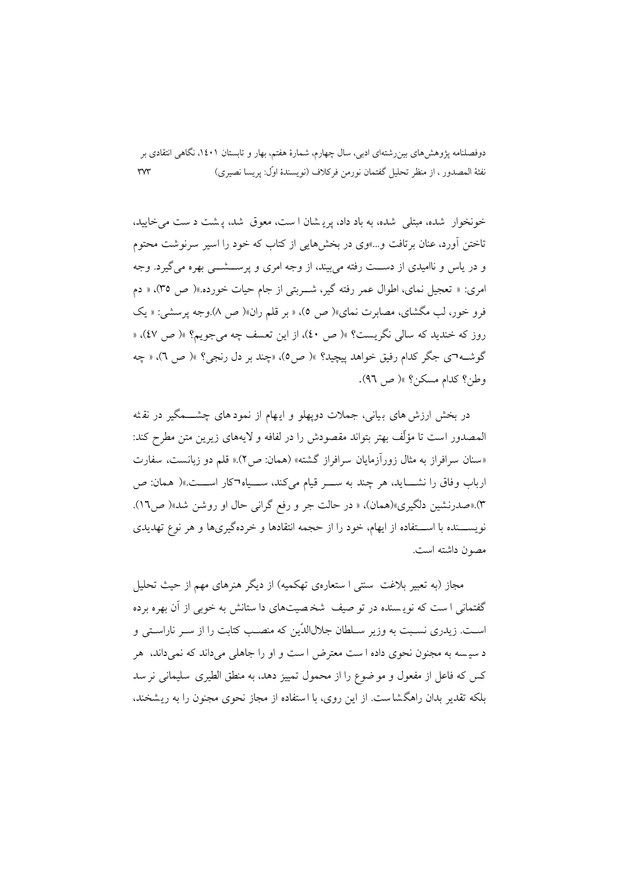دوفصلنامه یژوهش۵مای بین٫شتهای ادبی، سال چهارم، شمارهٔ هفتم، بهار و تابستان ۱٤۰۱، نگاهی انتقادی بر نفثة المصدور ، از منظر تحليل گفتمان نورمن فركلاف (نويسندهٔ اوّل: پريسا نصيري)  $\mathsf{r}\mathsf{v}\mathsf{r}$ 

خونخوار شده، مبتلی شده، به باد داد، پریشان است، معوق شد، پشت دست می خایید، تاختن اَورد، عنان برتافت و…»وی در بخشهایی از کتاب که خود را اسیر سرنوشت محتوم و در پاس و ناامیدی از دست رفته می بیند، از وجه امری و پرســـشـــی بهره می گیرد. وجه امري: « تعجبل نماي، اطوال عمر رفته گير، شيريتي از جام حيات خورده.»(ص ٣٥)، « دم فرو خور، لب مگشای، مصابرت نمای»( ص ٥)، « بر قلم ران»( ص ٨).وجه پرسشی: « یک روز که خندید که سالی نگریست؟ »( ص ٤٠)، از این تعسف چه می جویم؟ »( ص ٤٧)، « گوشـه٦ي جگر كدام رفيق خواهد پيچيد؟ »( ص٥)، «چند بر دل رنجي؟ »( ص ٦)، « چه وطن؟ كدام مسكن؟ »( ص ٩٦).

در بخش ارزش های بیانی، جملات دویهلو و ایهام از نمودهای چشــــمگیر در نقثه المصدور است تا مؤلِّف بهتر بتواند مقصودش را در لفافه و لايههاى زيرين متن مطرح كند: «سنان سرافراز به مثال زورآزمایان سرافراز گشته» (همان: ص۲).« قلم دو زبانست، سفارت ارباب وفاق را نشـــايد، هر چند به ســــر قيام ميكند، ســـياه¬كار اســــت.»( همان: ص ۳).«صدرنشین دلگیری»(همان)، « در حالت جر و رفع گرانی حال او روشن شد»( ص۱٦). نویســـنده با اســـتفاده از ایهام، خود را از حجمه انتقادها و خردهگیریها و هر نوع تهدیدی مصون داشته است.

مجاز (به تعبیر بلاغت سنتی ا ستعارهی تهکمیه) از دیگر هنرهای مهم از حیث تحلیل گفتمانی ا ست که نویسنده در تو صیف شخصیتهای دا ستانش به خوبی از آن بهره برده است. زیدری نسبت به وزیر سـلطان جلالاللدّین که منصـب کتابت را از سـر ناراسـتی و د سیسه به مجنون نحوی داده ا ست معترض ا ست و او را جاهلی می داند که نمی داند، ً هر کس که فاعل از مفعول و مو ضوع را از محمول تمییز دهد، به منطق الطیری ٍسلیمانی نر سد بلکه تقدیر بدان راهگشاست. از این روی، با استفاده از مجاز نحوی مجنون را به ریشخند،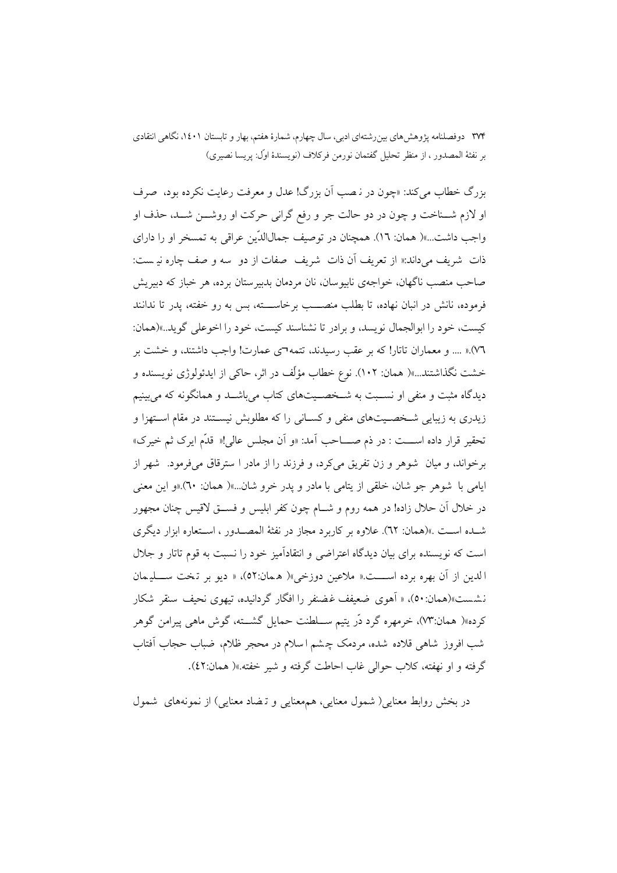بزرگ خطاب میکند: «چون در ن**صب آن بزرگ! عدل و معرفت رعایت نکرده بود**، صرف او لازم شــناخت و چون در دو حالت جر و رفع گرانی حرکت او روشــن شــد، حذف او واجب داشت…»( همان: ١٦). همچنان در توصیف جمالاللدّین عراقبی به تمسخر او را دارای ذات شريف مي داند.« از تعريف آن ذات شريف صفات از دو سه و صف چاره نيـست: صاحب منصب ناگهان، خواجهي نابيوسان، نان مردمان بدبير ستان برده، هر خباز كه دبيريش فرموده، نانش در انبان نهاده، تا بطلب منصـــب برخاســـته، بس به رو خفته، پدر تا ندانند كيست، خود را ابوالجمال نويسد، و برادر تا نشناسند كيست، خود را اخوعلى گويد...»(همان: ٧٦).« .... و معماران تاتار! كه بر عقب رسيدند، تتمه٦ي عمارت! واجب داشتند، و خشت بر خشت نگذاشتند...»( همان: ۱۰۲). نوع خطاب مؤلِّف در اثر، حاکی از ایدئولوژی نویسنده و دیدگاه مثبت و منفی او نسـبت به شــخصــیتهای کتاب میباشــد و همانگونه که میبینیم زیدری به زیبایی شـخصـیتهای منفی و کسـانی را که مطلوبش نیسـتند در مقام اسـتهزا و تحقير قرار داده اســـت : در ذم صــــاحب أمد: «و أن مجلس عالى!« قدَّم ايرك ثم خيرك» برخواند، و میان ً شوهر و زن تفریق می کرد، و فرزند را از مادر ا سترقاق می فرمود. شهر از ايامي با شوهر جو شان، خلقي از يتامي با مادر و يدر خرو شان...»( همان: ٦٠).«و اين معنى در خلال آن حلال زاده! در همه روم و شــام چون کفر ابلیس و فســق لاقیس چنان مجهور شـده اسـت .»(همان: ٦٢). علاوه بر كاربرد مجاز در نفثهٔ المصـدور ، اسـتعاره ابزار ديگري است که نویسنده برای بیان دیدگاه اعتراضی و انتقادآمیز خود را نسبت به قوم تاتار و جلال الدين از آن بهره برده اســــت.« ملاعين دوزخي»( هـمان:٥٢)، « ديو بر تـخت ســــليمان نشست»(همان:٥٠)، « آهوي ضعيفف غضنفر را افگار گردانيده، تيهوي نحيف سنقر شكار کرده»( همان:۷۳)، خرمهره گرد دُر يتيم ســلطنت حمايل گشـــته، گوش ماهي پيرامن گوهر شب افروز شاهی قلاده شده، مردمک چشم اسلام در محجر ظلام، ضباب حجاب آفتاب گرفته و او نهفته، كلاب حوالي غاب احاطت گرفته و شير خفته.»( همان:٤٢).

در بخش روابط معنایی( شمول معنایی، همهعنایی و تـضاد معنایی) از نمونههای شمول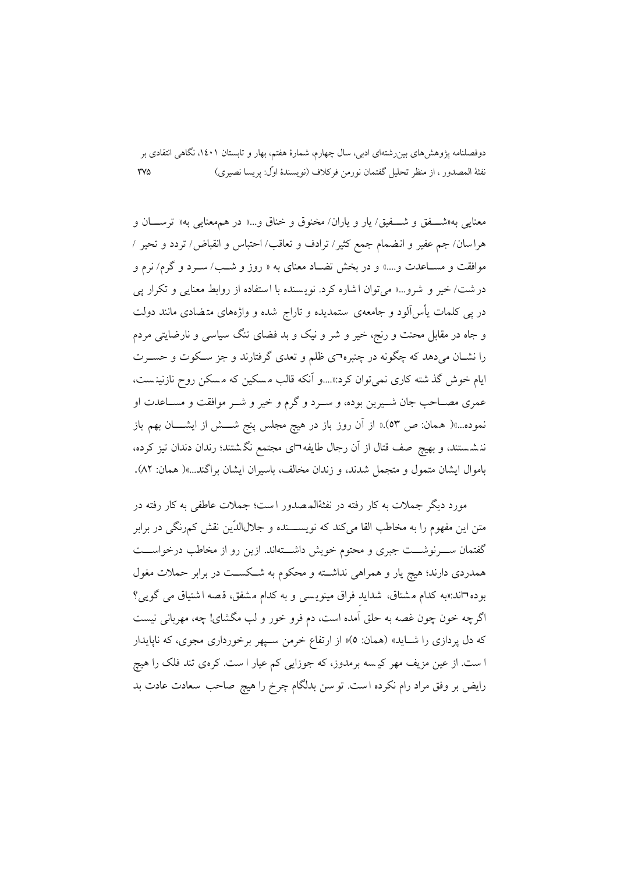معنايي به«شـــفق و شـــفيق/يار و ياران/ مخنوق و خناق و…» در همهعنايي به« ترســـان و هراسان/ جم عفير و انضمام جمع كثير/ ترادف و تعاقب/ احتباس و انقباض/ تردد و تحير / موافقت و مسـاعدت و….» و در بخش تضـاد معناي به « روز و شـب/ سـرد و گرم/ نرم و درشت/ خیر و شرو...» می توان اشاره کرد. نویسنده با استفاده از روابط معنایی و تکرار یی در پی کلمات پأس آلود و جامعهی ستمدیده و تاراج شده و واژههای متضادی مانند دولت و جاه در مقابل محنت و رنج، خیر و شر و نیک و بد فضای تنگ سیاسی و نارضایتی مردم را نشــان می٫دهد که چگونه در چنبره¬ی ظلم و تعدی گرفتارند و جز ســکوت و حســرت ایام خوش گذشته کاری نمی توان کرد:«....و اَنکه قالب مسکین که مسکن روح نازنینست، عمري مصــاحب جان شــيرين بوده، و ســرد و گرم و خير و شــر موافقت و مســاعدت او نموده...»( همان: ص ٥٣).« از آن روز باز در هيچ مجلس پنج شــــش از ايشــــان بهم باز ننشستند، و بهیچ صف قتال از آن رجال طایفه¬ای مجتمع نگشتند؛ رندان دندان تیز کرده، باموال ايشان متمول و متجمل شدند، و زندان مخالف، باسيران ايشان براگند...»( همان: ٨٢).

مورد دیگر جملات به کار رفته در نفثهٔالمصدور است؛ جملات عاطفی به کار رفته در متن این مفهوم را به مخاطب القا میکند که نویســـنده و جلالالدّین نقش کمرنگی در برابر گفتمان سـوزشـــت جبرى و محتوم خويش داشـــتهاند. ازين رو از مخاطب درخواســـت همدردی دارند؛ هیچ یار و همراهی نداشته و محکوم به شکست در برابر حملات مغول بوده¬اند:«به كدام مشتاق، شدايد فراق مينويسي و به كدام مشفق، قصه اشتياق مي گويي؟ اگرچه خون چون غصه به حلق آمده است، دم فرو خور و لب مگشای! چه، مهربانی نیست که دل پردازی را شـاید» (همان: ٥)« از ارتفاع خرمن سـيهر برخورداری مجوی، که نايايدار ا ست. از عین مزیف مهر کیسه برمدوز، که جوزایی کم عیار ا ست. کرهی تند فلک را هیچ رايض بر وفق مراد رام نكرده است. تو سن بدلگام چرخ را هيچ صاحب سعادت عادت بد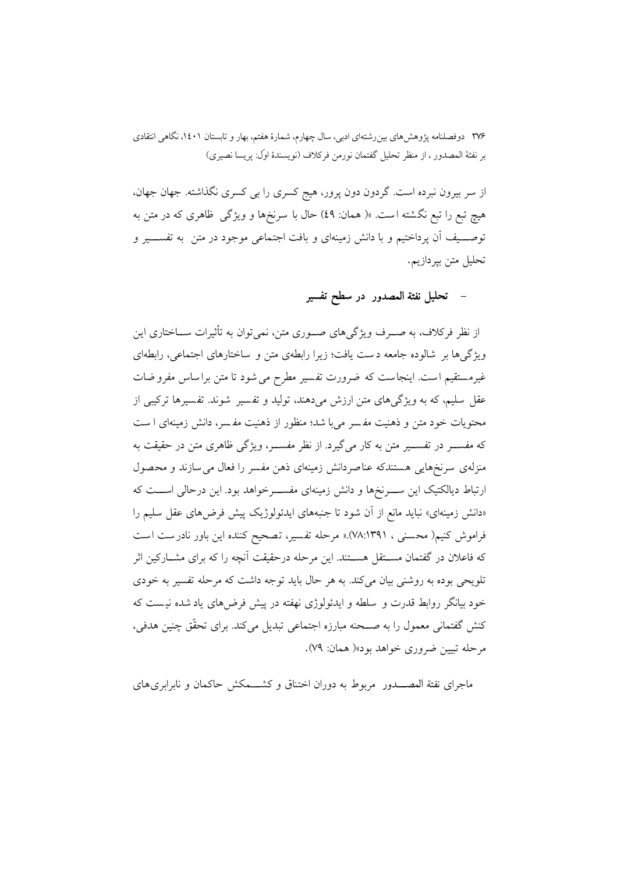از سر بیرون نبرده است. گردون دون پرور، هیج کسری را بی کسری نگذاشته. جهان جهان، هیچ تبع را تبع نگشته است. »( همان: ٤٩) حال با سرنخها و ویژگی ظاهری که در متن به توصـــيف آن يرداختيم و با دانش زمينهاي و بافت اجتماعي موجود در متن به تفســـير و تحليل متن بيردازيم.

### تحليل نفثة المصدور در سطح تفسير

از نظر فرکلاف، به صـــرف ویژگیِهای صـــوری متن، نمی توان به تأثیرات ســـاختاری این ویژگیها بر شالوده جامعه دست یافت؛ زیرا رابطهی متن و ساختارهای اجتماعی، رابطهای غیرمستقیم است. اینجاست که ضرورت تفسیر مطرح می شود تا متن براساس مفرو ضات عقل سلیم، که به ویژگیهای متن ارزش میدهند، تولید و تفسیر ً شوند. تفسیرها ترکیبی از محتويات خود متن و ذهنيت مفسر مي با شد؛ منظور از ذهنيت مفسر، دانش زمينهاي ا ست که مفســـر در تفســـير متن به کار ميگيرد. از نظر مفســـر، ويژگي ظاهري متن در حقيقت به منزلهي سرنخهايي هستندكه عناصردانش زمينهاي ذهن مفسر را فعال مي سازند و محصول ارتباط دیالکتیک این ســـرنخها و دانش زمینهای مفســـرخواهد بود. این درحالی اســـت که «دانش زمینهای» نباید مانع از آن شود تا جنبههای ایدئولوژیک پیش فرضهای عقل سلیم را فراموش كنيم( محسنى ، ٧٨:١٣٩١).« مرحله تفسير، تصحيح كننده اين باور نادرست است که فاعلان در گفتمان مســتقل هســتند. این مرحله درحقیقت آنچه را که برای مشــارکین اثر تلويحي بوده به روشني بيان مي كند. به هر حال بايد توجه داشت كه مرحله تفسير به خودي خود بیانگر روابط قدرت و سلطه و ایدئولوژی نهفته در پیش فرضهای یاد شده نیست که كنش گفتمانی معمول را به صــحنه مبارزه اجتماعی تبدیل میكند. برای تحقّق چنین هدفی، مرحله تبيين ضروري خواهد بود»( همان: ٧٩).

ماجرای نفثة المصـــدور ً مربوط به دوران اختناق و کشـــمکش حاکمان و نابرابری های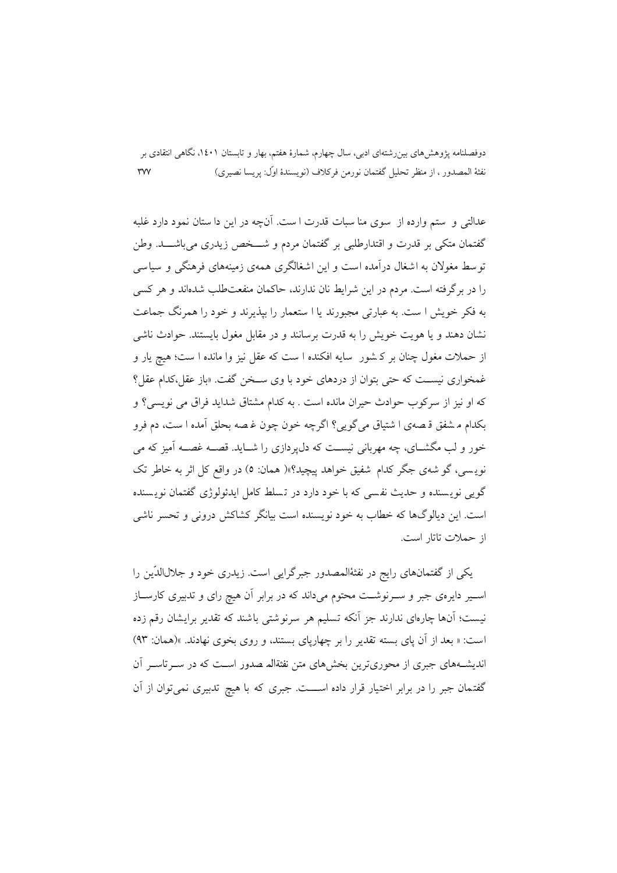عدالتي و ٍ ستم وارده از ٍ سوى منا سبات قدرت ا ست. آنچه در اين دا ستان نمود دارد غلبه گفتمان متکی بر قدرت و اقتدارطلبی بر گفتمان مردم و شـــخص زیدری می باشـــد. وطن توسط مغولان به اشغال درآمده است و این اشغالگری همهی زمینههای فرهنگی و سیاسی را در برگرفته است. مردم در این شرایط نان ندارند، حاکمان منفعتطلب شدهاند و هر کسی به فکر خویش ا ست. به عبارتی مجبورند یا ا ستعمار را بیذیرند و خود را همرنگ جماعت نشان دهند و یا هویت خویش را به قدرت برسانند و در مقابل مغول پایستند. حوادث ناشی از حملات مغول چنان بر کشور ٍ سایه افکنده ا ست که عقل نیز وا مانده ا ست؛ هیچ یار و غمخواري نيست كه حتى بتوان از دردهاي خود با وي ســخن گفت. «باز عقل،كدام عقل؟ كه او نيز از سركوب حوادث حيران مانده است . به كدام مشتاق شدايد فراق مي نويسي؟ و بكدام مشفق قصهى ا شتياق مى گويى؟ اگرچه خون چون غصه بحلق آمده ا ست، دم فرو خور و لب مگشــاي، چه مهرباني نيســت كه دل1پردازي را شــايد. قصــه غصــه آميز كه مي نویسی، گو شهی جگر کدام شفیق خواهد پیچید؟»( همان: ٥) در واقع کل اثر به خاطر تک گویی نویسنده و حدیث نفسی که با خود دارد در تسلط کامل ایدئولوژی گفتمان نویسنده است. این دیالوگها که خطاب به خود نویسنده است بیانگر کشاکش درونی و تحسر ناشی از حملات تاتار است.

یکی از گفتمانهای رایج در نفثهٔالمصدور جبرگرایی است. زیدری خود و جلالالدّین را اسـیر دایرهی جبر و سـرنوشـت محتوم میداند که در برابر آن هیچ رای و تدبیری کارسـاز نیست؛ آنها چارەای ندارند جز آنکه تسلیم هر سرنوشتی باشند که تقدیر برایشان رقم زده است: « بعد از آن یای بسته تقدیر را بر چهاریای بستند، و روی بخوی نهادند. »(همان: ۹۳) اندیشتههای جبری از محوری ترین بخش های متن نفثةاله صدور است که در سبر تاسیر آن گفتمان جبر را در برابر اختیار قرار داده اســـت. جبری که با هیچ تدبیری نمیتوان از آن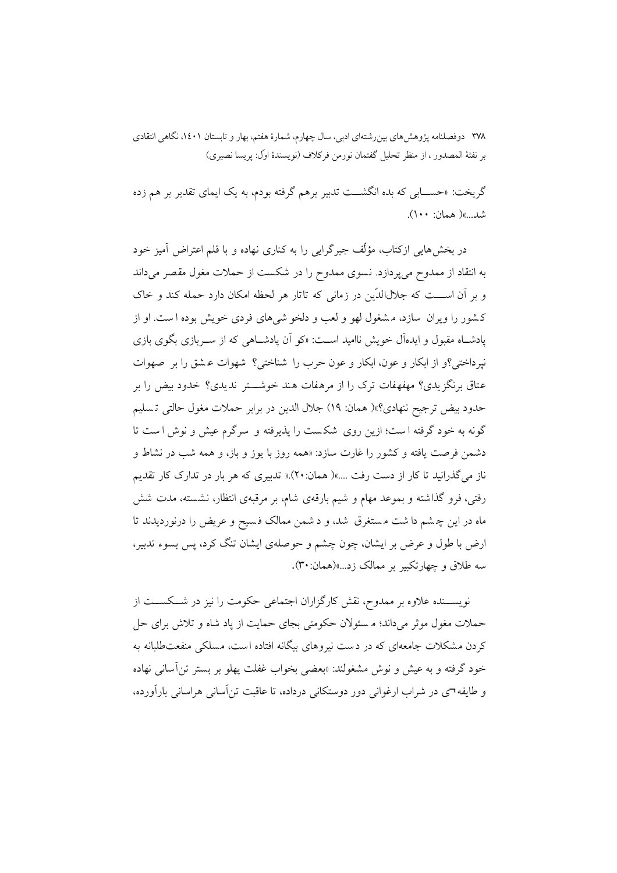گریخت: «حســـابی که بده انگشـــت تدبیر برهم گرفته بودم، به یک ایمای تقدیر بر هم زده شد....»( همان: ۱۰۰).

در بخشهایی ازکتاب، مؤلِّف جبرگرایی را به کناری نهاده و با قلم اعتراض اَمیز خود به انتقاد از ممدوح میپردازد. نسوی ممدوح را در شکست از حملات مغول مقصر میداند و بر آن اســـت که جلالالدّین در زمانی که تاتار هر لحظه امکان دارد حمله کند و خاک کشور را ویران سازد، مشغول لهو و لعب و دلخو شیهای فردی خویش بوده ا ست. او از پادشـاه مقبول و ایدهآل خویش ناامید اسـت: «کو اَن پادشـاهی که از سـربازی بگوی بازی نپرداختی؟و از ابکار و عون، ابکار و عون حرب را شناختی؟ شهوات عشق را بر صهوات عتاق برنگزیدی؟ مهفهفات ترک را از مرهفات هند خوشــــتر ندیدی؟ خدود بیض را بر حدود بيض ترجيح ننهادي؟»( همان: ١٩) جلال الدين در برابر حملات مغول حالتي تـسليم گونه به خود گرفته است؛ ازین روی شکست را پذیرفته و سرگرم عیش و نوش است تا دشمن فرصت یافته و کشور را غارت سازد: «همه روز با یوز و باز، و همه شب در نشاط و ناز میگذرانید تا کار از دست رفت ....»( همان: ۲۰).« تدبیری که هر بار در تدارک کار تقدیم رفتی، فرو گذاشته و بموعد مهام و شیم بارقهی شام، بر مرقبهی انتظار، نشسته، مدت شش ماه در این چشم دا شت مستغرق شد، و د شمن ممالک فسیح و عریض را درنوردیدند تا ارض با طول و عرض بر ایشان، چون چشم و حوصلهی ایشان تنگ کرد، پس بسوء تدبیر، سه طلاق و چهارتکبیر بر ممالک زد...»(همان: ۳۰).

نویســنده علاوه بر ممدوح، نقش کارگزاران اجتماعی حکومت را نیز در شــکســت از حملات مغول موثر میداند؛ م سئولان حکومتی بجای حمایت از پاد شاه و تلاش برای حل کردن مشکلات جامعهای که در دست نیروهای بیگانه افتاده است، مسلکی منفعتطلبانه به خود گرفته و به عیش و نوش مشغولند: «بعضی بخواب غفلت یهلو بر بستر تن آسانی نهاده و طایفه¬ی در شراب ارغوانی دور دوستکانی درداده، تا عاقبت تن آسانی هراسانی بار آورده،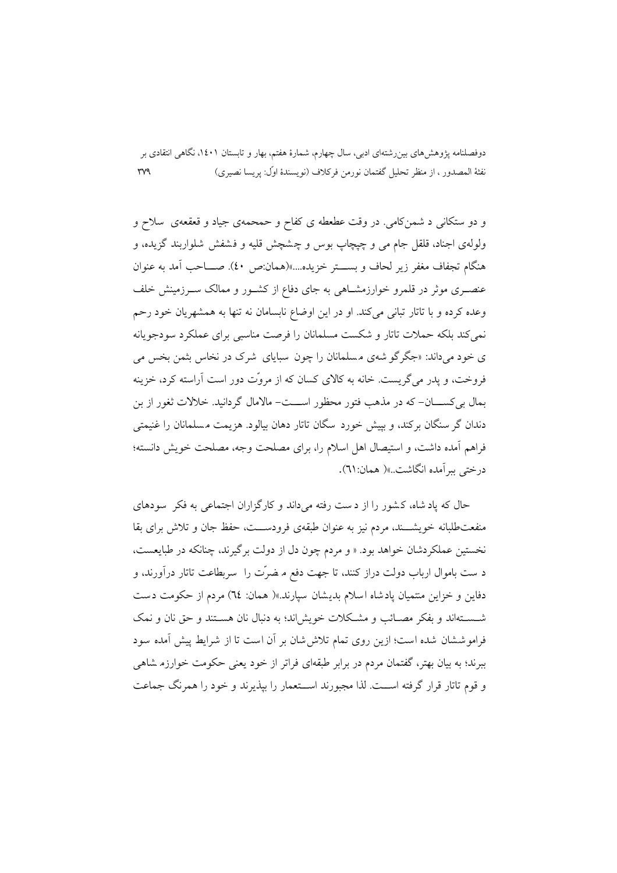و دو ستکانی د شمن کامی. در وقت عطعطه ی کفاح و حمحمهی جیاد و قعقعهی ً سلاح و ولولهي اجناد، قلقل جام مي و چيچاپ بوس و چشچش قليه و فشفش شلواربند گزيده، و هنگام تجفاف مغفر زير لحاف و بســـتر خزيده....»(همان:ص ٤٠). صـــاحب آمد به عنوان عنصـری موثر در قلمرو خوارزمشــاهی به جای دفاع از کشــور و ممالک ســرزمینش خلف وعده کرده و با تاتار تبانی میکند. او در این اوضاع نابسامان نه تنها به همشهریان خود رحم نمی کند بلکه حملات تاتار و شکست مسلمانان را فرصت مناسبی برای عملکرد سودجویانه ی خود می داند: «جگر گو شهی مسلمانان را چون سیابای شرک در نخاس شمن بخس می فروخت، و یدر می گریست. خانه به کالای کسان که از مروّت دور است آراسته کرد، خزینه بمال بی کســــان- که در مذهب فتور محظور اســــت- مالامال گردانید. خلالات ثغور از بن دندان گر سنگان برکند، و بییش خورد سگان تاتار دهان بیالود. هزیمت مسلمانان را غنیمتی فراهم أمده داشت، و استيصال اهل اسلام را، براي مصلحت وجه، مصلحت خويش دانسته؛ درختي ببر آمده انگاشت..»( همان: ٦١).

حال که یاد شاه، کشور را از دست رفته می داند و کارگزاران اجتماعی به فکر ً سودهای منفعت طلبانه خويشـــند، مردم نيز به عنوان طبقهي فرودســـت، حفظ جان و تلاش براي بقا نخستین عملکردشان خواهد بود. « و مردم چون دل از دولت برگیرند، چنانکه در طبایعست، د ست باموال ارباب دولت دراز کنند، تا جهت دفع م ضرّت را ً سربطاعت تاتار درآورند، و دفاین و خزاین منتمیان یادشاه اسلام بدیشان سیارند.»( همان: T٤) مردم از حکومت دست شــســتهاند و بفكر مصــائـب و مشــكلات خويش!ند؛ به دنبال نان هســتند و حق نان و نمك فراموششان شده است؛ ازین روی تمام تلاش شان بر آن است تا از شرایط پیش آمده سود ببرند؛ به بیان بهتر، گفتمان مردم در برابر طبقهای فراتر از خود یعنی حکومت خوارزه شاهی و قوم تاتار قرار گرفته اســت. لذا مجبورند اســتعمار را بیذیرند و خود را همرنگ جماعت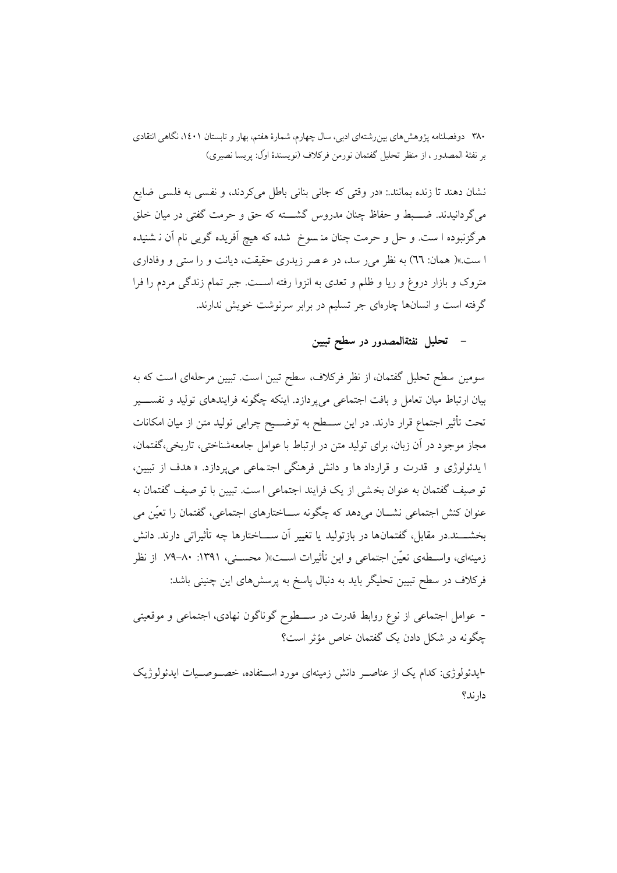نشان دهند تا زنده بمانند.: «در وقتي كه جاني بناني باطل مي كردند، و نفسي به فلسي ضايع می گردانیدند. ضـــبط و حفاظ چنان مدروس گشـــته که حق و حرمت گفتی در میان خلق هرگزنبوده ا ست. و حل و حرمت چنان منـ سوخ شده که هیچ آفریده گویبی نام آن نـ شنیده ا ست.»( همان: ٦٦) به نظر مي ر سد، در عـصر زيدري حقيقت، ديانت و را ستي و وفاداري متروک و بازار دروغ و ریا و ظلم و تعدی به انزوا رفته اســت. جبر تمام زندگی مردم را فرا گرفته است و انسانها چارهای جر تسلیم در برابر سرنوشت خویش ندارند.

### تحليل نفثةالمصدور در سطح تبيين

سومین سطح تحلیل گفتمان، از نظر فرکلاف، سطح تبین است. تبیین مرحلهای است که به بیان ارتباط میان تعامل و بافت اجتماعی میbپردازد. اینکه چگونه فرایندهای تولید و تفســــیر تحت تأثیر اجتماع قرار دارند. در این ســـطح به توضـــیح چرایی تولید متن از میان امکانات مجاز موجود در آن زبان، براي توليد متن در ارتباط با عوامل جامعهشناختي، تاريخي،گفتمان، ا پدئولوژي و قدرت و قرارداد ها و دانش فرهنگي اجتماعي مي پردازد. « هدف از تبيين، تو صيف گفتمان به عنوان بخشي از يک فرايند اجتماعي است. تبيين با تو صيف گفتمان به عنوان کنش اجتماعی نشـــان می۵هد که چگونه ســـاختارهای اجتماعی، گفتمان را تعیّن می بخشــــند.در مقابل، گفتمانها در بازتولید یا تغییر آن ســــاختارها چه تأثیراتی دارند. دانش زمینهای، واسـطهی تعیّن اجتماعی و این تأثیرات اسـت»( محسـنی، ۱۳۹۱: ۸۰–۷۹. از نظر فرکلاف در سطح تبیین تحلیگر باید به دنبال پاسخ به پرسشهای این چنینی باشد:

- عوامل اجتماعی از نوع روابط قدرت در ســـطوح گوناگون نهادی، اجتماعی و موقعیتی چگونه در شکل دادن یک گفتمان خاص مؤثر است؟

-ايدئولوژي: كدام يک از عناصـر دانش زمينهاي مورد اسـتفاده، خصـوصـيات ايدئولوژيک دار ند؟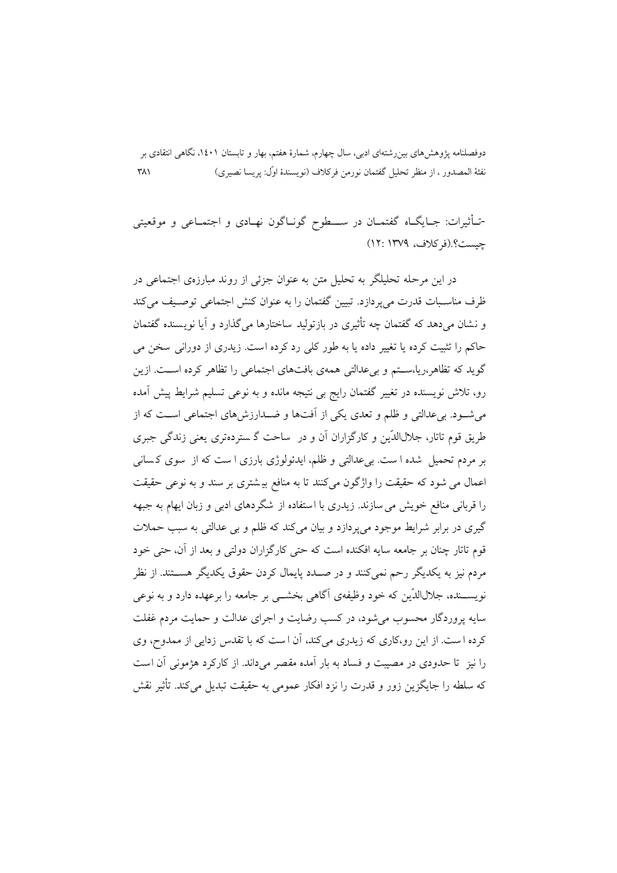-تـأثيرات: جـايگــاه گفتمــان در ســــطوح گونــاگون نهــادي و اجتمــاعي و موقعيتي جست؟ (فركلاف، ١٣٧٩: ١٢)

در این مرحله تحلیلگر به تحلیل متن به عنوان جزئی از روند مبارزهی اجتماعی در ظرف مناسـبات قدرت می یردازد. تبیین گفتمان را به عنوان کنش اجتماعی توصـیف می کند و نشان می دهد که گفتمان چه تأثیری در بازتولید ساختارها می گذارد و آیا نویسنده گفتمان ۔<br>حاکم را تثبت کردہ یا تغییر دادہ یا به طور کلی رد کردہ است. زیدری از دورانی سخن می گوید که تظاهر،ریا،ســتم و بی عدالتی همهی بافتهای اجتماعی را تظاهر کرده اســت. ازین رو، تلاش نویسنده در تغییر گفتمان رایج بی نتیجه مانده و به نوعی تسلیم شرایط پیش آمده می شـود. پی عدالتی و ظلم و تعدی یکی از آفتها و ضـدارزش های اجتماعی اسـت که از طریق قوم تاتار، جلالاللدّین و کارگزاران آن و در ساحت گـستردهتری یعنی زندگی جبری بر مردم تحمیل شده ا ست. بی عدالتی و ظلم، ایدئولوژی بارزی ا ست که از سوی کسانی اعمال می شود که حقیقت را واژگون میکنند تا به منافع بیشتری بر سند و به نوعی حقیقت را قربانی منافع خویش می سازند. زیدری با استفاده از شگردهای ادبی و زبان ایهام به جبهه گیری در برابر شرایط موجود می پردازد و بیان می کند که ظلم و بی عدالتی به سبب حملات قوم تاتار چنان بر جامعه سایه افکنده است که حتی کارگزاران دولتی و بعد از آن، حتی خود مردم نیز به یکدیگر رحم نمیکنند و در صــدد پایمال کردن حقوق یکدیگر هســتند. از نظر نویســنده، جلالالدّین که خود وظیفهی آگاهی بخشــی بر جامعه را برعهده دارد و به نوعی سایه پروردگار محسوب می شود، در کسب رضایت و اجرای عدالت و حمایت مردم غفلت کرده است. از این رو،کاری که زیدری میکند، آن است که با تقدس زدایی از ممدوح، وی را نیز ِ تا حدودی در مصیبت و فساد به بار آمده مقصر می داند. از کارکرد هژمونی آن است كه سلطه را جايگزين زور و قدرت را نزد افكار عمومي به حقيقت تبديل مي كند. تأثير نقش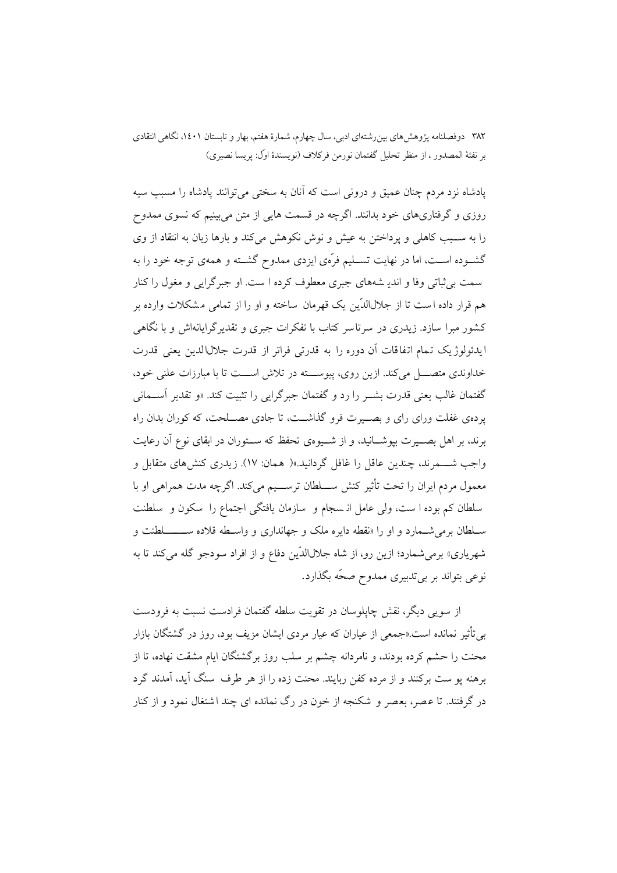یادشاه نزد مردم چنان عمیق و درونی است که آنان به سختی می توانند یادشاه را مسبب سیه روزی و گرفتاریهای خود بدانند. اگرچه در قسمت هایی از متن میبینیم که نسوی ممدوح را به ســبب كاهلي و يرداختن به عيش و نوش نكوهش ميكند و بارها زبان به انتقاد از وي گشـوده اســت، اما در نهایت تســلیم فرَّمی ایزدی ممدوح گشــته و همهی توجه خود را به سمت بي ثباتي وفا و انديـ شههاي جبري معطوف كرده ا ست. او جبر گرايي و مغول را كنار هم قرار داده است تا از جلالاللدِّین یک قهرمان ساخته و او را از تمامی مشکلات وارده بر کشور مبرا سازد. زیدری در سرتاسر کتاب با تفکرات جبری و تقدیرگرایانهاش و با نگاهی ايدئولوژيک تمام اتفاقات آن دوره را به قدرتی فراتر از قدرت جلال الدين يعني قدرت خداوندی متصــــل میکند. ازین روی، پیوســـته در تلاش اســـت تا با مبارزات علنی خود، گفتمان غالب یعنی قدرت بشــر را رد و گفتمان جبرگرایی را تثبیت کند. «و تقدیر آســمانی یردهی غفلت ورای رای و بصــیرت فرو گذاشــت، تا جادی مصــلحت، که کوران بدان راه برند، بر اهل بصــيرت بيوشــانيد، و از شــيوهي تحفظ كه ســتوران در ابقاي نوع آن رعايت واجب شــــمرند، چندین عاقل را غافل گردانید.»( هـمان: ۱۷). زیدری کنش۵های متقابل و معمول مردم ایران را تحت تأثیر کنش ســـلطان ترســـیم میکند. اگرچه مدت همراهی او با سلطان كم بوده ا ست، ولي عامل از سجام و سازمان يافتگي اجتماع را سكون و سلطنت سـلطان برمي شـمارد و او را «نقطه دايره ملک و جهانداري و واسـطه قلاده ســـــــــلطنت و شهریاری» برمی شمارد؛ ازین رو، از شاه جلالالاتین دفاع و از افراد سودجو گله می کند تا به نوعی بتواند بر بیتدبیری ممدوح صحّه بگذارد.

از سوپی دیگر، نقش چاپلوسان در تقویت سلطه گفتمان فرادست نسبت به فرودست بی تأثیر نمانده است.«جمعی از عیاران که عیار مردی ایشان مزیف بود، روز در گشتگان بازار محنت را حشم کرده بودند، و نامردانه چشم بر سلب روز برگشتگان ایام مشقت نهاده، تا از برهنه يو ست بركنند و از مرده كفن ربايند. محنت زده را از هر طرف سنگ آيد، آمدند گرد در گرفتند. تا عصر، بعصر و شکنجه از خون در رگ نمانده ای چند اشتغال نمود و از کنار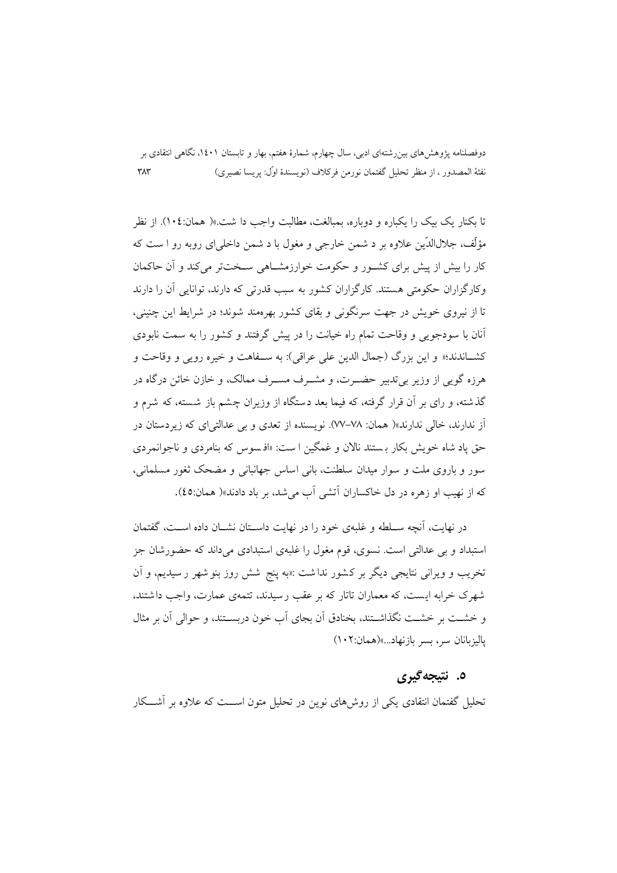تا یکنار یک پیک را یکباره و دوباره، بمبالغت، مطالبت واجب دا شت.»( همان: ۱۰٤). از نظر مؤلِّف، جلالالدِّين علاوه پر د شمن خارجے و مغول یا د شمن داخلے ای روپه رو ا ست که کار را بیش از پیش برای کشـور و حکومت خوارزمشــاهی ســختتر می کند و آن حاکمان وکار گزاران حکومتی هستند. کارگزاران کشور به سب قدرتی که دارند، توانایی آن را دارند تا از نیروی خویش در جهت سرنگونی و بقای کشور بهرهمند شوند؛ در شرایط این چنینی، آنان با سودجویی و وقاحت تمام راه خیانت را در پیش گرفتند و کشور را به سمت نابودی کشــاندند؛« و این یزرگ (جمال الدین علی عراقی): به ســفاهت و خبره روپی و وقاحت و هرزه گوپی از وزیر پی تدبیر حضــرت، و مشــرف مســرف ممالک، و خازن خائن درگاه در گذشته، و رای بر آن قرار گرفته، که فیما بعد دستگاه از وزیران چشم باز شسته، که شرم و اَز ندارند، خالی ندارند»( همان: ۷۸–۷۷). نویسنده از تعدی و بی عدالتی ای که زیردستان در حق یاد شاه خویش بکار بستند نالان و غمگین ا ست: «افسوس که بنامردی و ناجوانمردی سور و باروی ملت و سوار میدان سلطنت، بانی اساس جهانبانی و مضحک ثغور مسلمانی، كه از نهيب او زهره در دل خاكساران آتشي آب مي شد، بر باد دادند»( همان:٤٥).

در نهایت، آنچه سـلطه و غلبهی خود را در نهایت داســتان نشــان داده اســت، گفتمان استبداد و بی عدالتی است. نسوی، قوم مغول را غلبهی استبدادی میداند که حضورشان جز تخریب و ویرانی نتایجی دیگر بر کشور نداشت :«به پنج شش روز بنو شهر ر سیدیم، و آن شهرک خرابه ایست، که معماران تاتار که بر عقب رسیدند، تتمهی عمارت، واجب داشتند، و خشــت بر خشــت نگذاشــتند، بخنادق آن بجای آب خون دربســتند، و حوالی آن بر مثال ياليزبانان سر، بسر بازنهاد...»(همان:١٠٢)

### ٥. نتيجه گيري

تحلیل گفتمان انتقادی یکی از روش های نوین در تحلیل متون اســـت که علاوه بر آشـــکار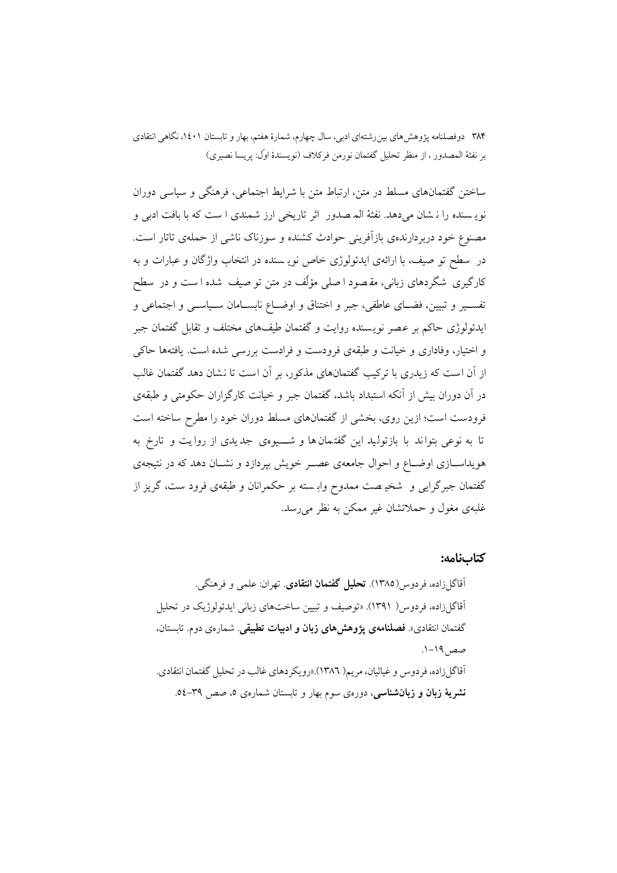ساختن گفتمانهای مسلط در متن، ارتباط متن با شرایط اجتماعی، فرهنگی و سیاسی دوران نویه سنده را نه شان میدهد. نفثهٔ المه صدور اثر تاریخی ارز شمندی ا ست که با بافت ادبی و مصنوع خود دربردارندهی بازآفرینی حوادث کشنده و سوزناک ناشی از حملهی تاتار است. در ً سطح تو صیف، با ارائهی ایدئولوژی خاص نویـسنده در انتخاب واژگان و عبارات و به کارگیری شگردهای زبانی، مقـصود ا صلی مؤلّف در متن تو صیف شده ا ست و در سطح تفســير و تبيين، فضــاى عاطفى، جبر و اختناق و اوضــاع نابســامان ســياســي و اجتماعى و ایدئولوژی حاکم بر عصر نویسنده روایت و گفتمان طیفهای مختلف و تقابل گفتمان جبر و اختیار، وفاداری و خیانت و طبقهی فرودست و فرادست بررسی شده است. یافتهها حاکی از آن است که زیدری با ترکیب گفتمانهای مذکور، بر آن است تا نشان دهد گفتمان غالب در آن دوران بیش از آنکه استبداد باشد، گفتمان جبر و خیانت کارگزاران حکومتی و طبقهی فرودست است؛ ازین روی، بخشی از گفتمانهای مسلط دوران خود را مطرح ساخته است تا به نوعی بتواند با بازتولید این گفتمان ها و شـــیوهی جدیدی از روایت و تارخ به هویداســازی اوضــاع و احوال جامعهی عصــر خویش بیردازد و نشــان دهد که در نتیجهی گفتمان جبرگرایی و شخیهصت ممدوح وابسته بر حکمرانان و طبقهی فرود ست، گریز از غلبهي مغول و حملاتشان غير ممكن به نظر مي رسد.

#### كتابنامه: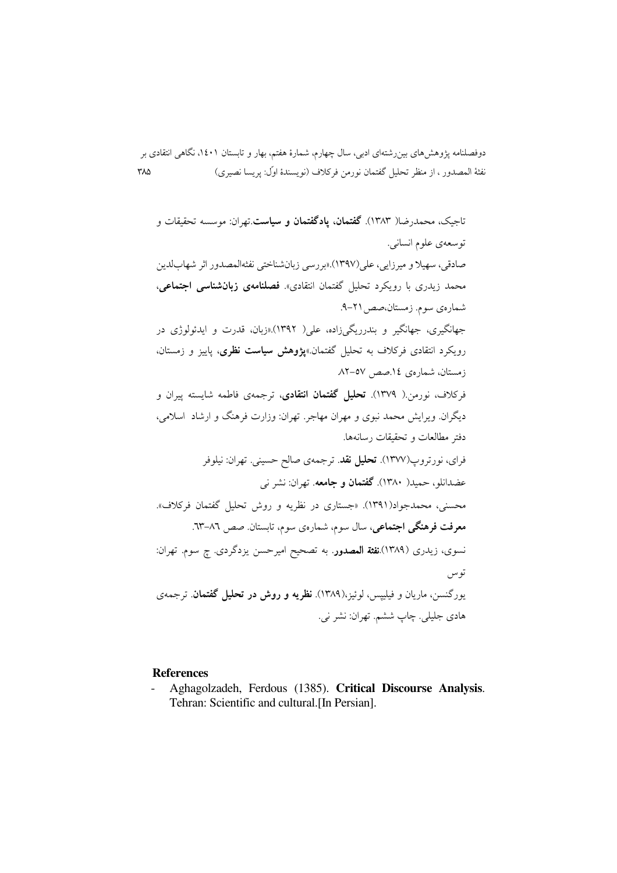تاجیک، محمدرضا( ۱۳۸۳). **گفتمان، یادگفتمان و سیاست** تھران: موسسه تحقیقات و توسعهي علوم انساني. صادقي، سهيلا و ميرزايي، على(١٣٩٧).«بررسي زبانشناختي نفثهالمصدور اثر شهابلدين محمد زیدری با رویکرد تحلیل گفتمان انتقادی». فصلنامهی **زبانشناسی اجتماعی**، شمارهي سوم. زمستان،صص ٢١-٩. جهانگیری، جهانگیر و بندرریگیزاده، علی( ۱۳۹۲).«زبان، قدرت و ایدئولوژی در رویکرد انتقادی فرکلاف به تحلیل گفتمان.»پژوهش **سیاست نظری**، پاییز و زمستان، زمستان، شمارهي ١٤.صص ٥٧-٨٢ فرکلاف، نورمن( ۱۳۷۹). **تحلیل گفتمان انتقادی**، ترجمهی فاطمه شایسته پیران و دیگران ویرایش محمد نبوی و مهران مهاجر. تهران: وزارت فرهنگ و ارشاد اسلامی، دفتر مطالعات و تحقیقات رسانهها. فراي، نورتروپ(١٣٧٧). تحليل نقد. ترجمهي صالح حسيني. تهران: نيلوفر عضدانلو، حمید( ۱۳۸۰). **گفتمان و جامعه**. تهران: نشر نبي محسنی، محمدجواد(۱۳۹۱). «جستاری در نظریه و روش تحلیل گفتمان فرکلاف». معرفت فرهنگی اجتماعی، سال سوم، شمارهی سوم، تابستان صص ٨٦–٦٣. نسوی، زیدری (۱۳۸۹).نفثة المصدور. به تصحیح امیرحسن یزدگردی. چ سوم. تهران: توس یورگنسن، ماریان و فیلیپس، لوئیز،(۱۳۸۹). **نظریه و روش در تحلیل گفتمان**. ترجمهی هادي جليلي. چاپ ششم. تهران: نشر ني.

#### **References**

Aghagolzadeh, Ferdous (1385). Critical Discourse Analysis. Tehran: Scientific and cultural. [In Persian].